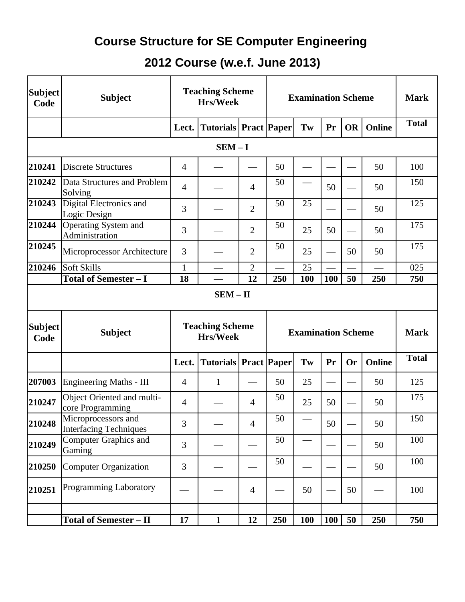## **Course Structure for SE Computer Engineering**

## **2012 Course (w.e.f. June 2013)**

| <b>Subject</b><br>Code | <b>Subject</b>                                       |                | <b>Teaching Scheme</b><br>Hrs/Week |                | <b>Examination Scheme</b> |     |     | <b>Mark</b> |               |              |
|------------------------|------------------------------------------------------|----------------|------------------------------------|----------------|---------------------------|-----|-----|-------------|---------------|--------------|
|                        |                                                      |                | Lect.   Tutorials   Pract   Paper  |                |                           | Tw  | Pr  | OR          | <b>Online</b> | <b>Total</b> |
|                        |                                                      |                | $SEM - I$                          |                |                           |     |     |             |               |              |
| 210241                 | <b>Discrete Structures</b>                           | 4              |                                    |                | 50                        |     |     |             | 50            | 100          |
| 210242                 | Data Structures and Problem<br>Solving               | $\overline{4}$ |                                    | $\overline{4}$ | 50                        |     | 50  |             | 50            | 150          |
| 210243                 | Digital Electronics and<br>Logic Design              | 3              |                                    | $\overline{2}$ | 50                        | 25  |     |             | 50            | 125          |
| 210244                 | <b>Operating System and</b><br>Administration        | 3              |                                    | $\overline{2}$ | 50                        | 25  | 50  |             | 50            | 175          |
| 210245                 | Microprocessor Architecture                          | 3              |                                    | 2              | 50                        | 25  |     | 50          | 50            | 175          |
| 210246                 | Soft Skills                                          | $\mathbf{1}$   |                                    | $\overline{2}$ |                           | 25  |     |             |               | 025          |
|                        | <b>Total of Semester - I</b>                         | 18             |                                    | 12             | 250                       | 100 | 100 | 50          | 250           | 750          |
|                        |                                                      |                | $SEM - II$                         |                |                           |     |     |             |               |              |
| <b>Subject</b><br>Code | <b>Subject</b>                                       |                | <b>Teaching Scheme</b><br>Hrs/Week |                | <b>Examination Scheme</b> |     |     |             | <b>Mark</b>   |              |
|                        |                                                      | Lect.          | <b>Tutorials   Pract   Paper</b>   |                |                           | Tw  | Pr  | Or          | <b>Online</b> | <b>Total</b> |
| 207003                 | <b>Engineering Maths - III</b>                       | $\overline{4}$ | $\mathbf{1}$                       |                | 50                        | 25  |     |             | 50            | 125          |
| 210247                 | Object Oriented and multi-<br>core Programming       | $\overline{4}$ |                                    | $\overline{4}$ | 50                        | 25  | 50  |             | 50            | 175          |
| 210248                 | Microprocessors and<br><b>Interfacing Techniques</b> | 3              |                                    | 4              | 50                        |     | 50  |             | 50            | 150          |
| 210249                 | <b>Computer Graphics and</b><br>Gaming               | 3              |                                    |                | 50                        |     |     |             | 50            | 100          |
| 210250                 |                                                      | 3              |                                    |                | 50                        |     |     |             | 50            | 100          |
|                        | <b>Computer Organization</b>                         |                |                                    |                |                           |     |     |             |               |              |
| 210251                 | <b>Programming Laboratory</b>                        |                |                                    | $\overline{4}$ |                           | 50  |     | 50          |               | 100          |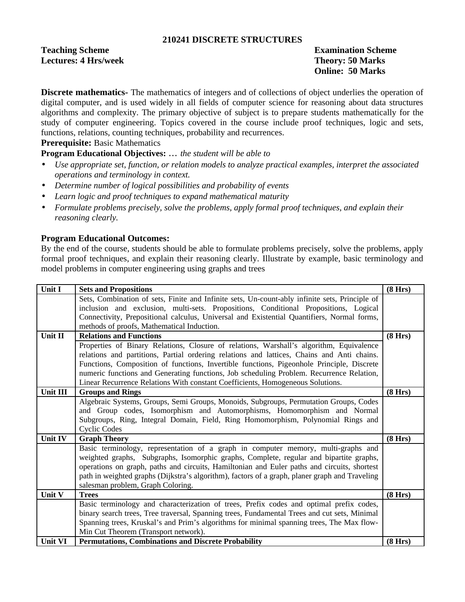### **210241 DISCRETE STRUCTURES**

**Teaching Scheme** Examination Scheme **Lectures: 4 Hrs/week Theory: 50 Marks** 

**Online: 50 Marks**

**Discrete mathematics-** The mathematics of integers and of collections of object underlies the operation of digital computer, and is used widely in all fields of computer science for reasoning about data structures algorithms and complexity. The primary objective of subject is to prepare students mathematically for the study of computer engineering. Topics covered in the course include proof techniques, logic and sets, functions, relations, counting techniques, probability and recurrences.

**Prerequisite:** Basic Mathematics

**Program Educational Objectives:** … *the student will be able to*

- *Use appropriate set, function, or relation models to analyze practical examples, interpret the associated operations and terminology in context.*
- *Determine number of logical possibilities and probability of events*
- *Learn logic and proof techniques to expand mathematical maturity*
- *Formulate problems precisely, solve the problems, apply formal proof techniques, and explain their reasoning clearly.*

### **Program Educational Outcomes:**

By the end of the course, students should be able to formulate problems precisely, solve the problems, apply formal proof techniques, and explain their reasoning clearly. Illustrate by example, basic terminology and model problems in computer engineering using graphs and trees

| Unit I         | <b>Sets and Propositions</b>                                                                                                                                                           | (8 Hrs) |
|----------------|----------------------------------------------------------------------------------------------------------------------------------------------------------------------------------------|---------|
|                | Sets, Combination of sets, Finite and Infinite sets, Un-count-ably infinite sets, Principle of<br>inclusion and exclusion, multi-sets. Propositions, Conditional Propositions, Logical |         |
|                | Connectivity, Prepositional calculus, Universal and Existential Quantifiers, Normal forms,                                                                                             |         |
|                | methods of proofs, Mathematical Induction.                                                                                                                                             |         |
| Unit II        | <b>Relations and Functions</b>                                                                                                                                                         | (8 Hrs) |
|                | Properties of Binary Relations, Closure of relations, Warshall's algorithm, Equivalence                                                                                                |         |
|                | relations and partitions, Partial ordering relations and lattices, Chains and Anti chains.                                                                                             |         |
|                | Functions, Composition of functions, Invertible functions, Pigeonhole Principle, Discrete                                                                                              |         |
|                | numeric functions and Generating functions, Job scheduling Problem. Recurrence Relation,                                                                                               |         |
|                | Linear Recurrence Relations With constant Coefficients, Homogeneous Solutions.                                                                                                         |         |
| Unit III       | <b>Groups and Rings</b>                                                                                                                                                                | (8 Hrs) |
|                | Algebraic Systems, Groups, Semi Groups, Monoids, Subgroups, Permutation Groups, Codes                                                                                                  |         |
|                | and Group codes, Isomorphism and Automorphisms, Homomorphism and Normal<br>Subgroups, Ring, Integral Domain, Field, Ring Homomorphism, Polynomial Rings and                            |         |
|                | <b>Cyclic Codes</b>                                                                                                                                                                    |         |
| <b>Unit IV</b> | <b>Graph Theory</b>                                                                                                                                                                    | (8 Hrs) |
|                | Basic terminology, representation of a graph in computer memory, multi-graphs and                                                                                                      |         |
|                | weighted graphs, Subgraphs, Isomorphic graphs, Complete, regular and bipartite graphs,                                                                                                 |         |
|                | operations on graph, paths and circuits, Hamiltonian and Euler paths and circuits, shortest                                                                                            |         |
|                | path in weighted graphs (Dijkstra's algorithm), factors of a graph, planer graph and Traveling                                                                                         |         |
|                | salesman problem, Graph Coloring.                                                                                                                                                      |         |
| Unit V         | <b>Trees</b>                                                                                                                                                                           | (8 Hrs) |
|                | Basic terminology and characterization of trees, Prefix codes and optimal prefix codes,                                                                                                |         |
|                | binary search trees, Tree traversal, Spanning trees, Fundamental Trees and cut sets, Minimal                                                                                           |         |
|                | Spanning trees, Kruskal's and Prim's algorithms for minimal spanning trees, The Max flow-                                                                                              |         |
|                | Min Cut Theorem (Transport network).                                                                                                                                                   |         |
| <b>Unit VI</b> | <b>Permutations, Combinations and Discrete Probability</b>                                                                                                                             | (8 Hrs) |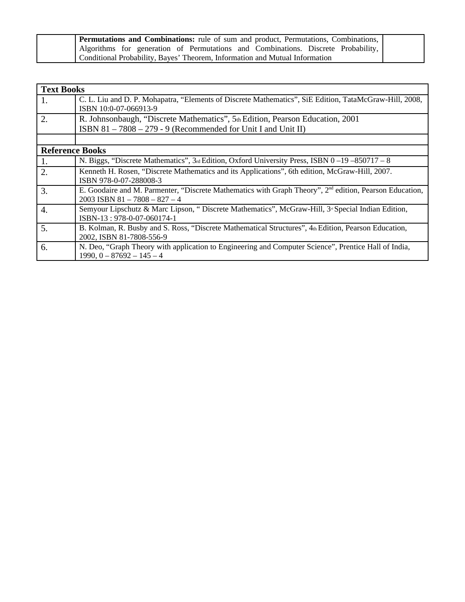| <b>Permutations and Combinations:</b> rule of sum and product, Permutations, Combinations, |  |
|--------------------------------------------------------------------------------------------|--|
| Algorithms for generation of Permutations and Combinations. Discrete Probability,          |  |
| Conditional Probability, Bayes' Theorem, Information and Mutual Information                |  |

| <b>Text Books</b>      |                                                                                                                                                        |
|------------------------|--------------------------------------------------------------------------------------------------------------------------------------------------------|
| 1.                     | C. L. Liu and D. P. Mohapatra, "Elements of Discrete Mathematics", SiE Edition, TataMcGraw-Hill, 2008,<br>ISBN 10:0-07-066913-9                        |
| 2.                     | R. Johnsonbaugh, "Discrete Mathematics", 5th Edition, Pearson Education, 2001                                                                          |
|                        | ISBN 81-7808-279-9 (Recommended for Unit I and Unit II)                                                                                                |
|                        |                                                                                                                                                        |
| <b>Reference Books</b> |                                                                                                                                                        |
| 1.                     | N. Biggs, "Discrete Mathematics", 3rd Edition, Oxford University Press, ISBN 0-19-850717-8                                                             |
| 2.                     | Kenneth H. Rosen, "Discrete Mathematics and its Applications", 6th edition, McGraw-Hill, 2007.<br>ISBN 978-0-07-288008-3                               |
| 3.                     | E. Goodaire and M. Parmenter, "Discrete Mathematics with Graph Theory", 2 <sup>nd</sup> edition, Pearson Education,<br>$2003$ ISBN 81 - 7808 - 827 - 4 |
| 4.                     | Semyour Lipschutz & Marc Lipson, " Discrete Mathematics", McGraw-Hill, 3 <sup>d</sup> Special Indian Edition,<br>ISBN-13: 978-0-07-060174-1            |
| 5.                     | B. Kolman, R. Busby and S. Ross, "Discrete Mathematical Structures", 4th Edition, Pearson Education,<br>2002, ISBN 81-7808-556-9                       |
| 6.                     | N. Deo, "Graph Theory with application to Engineering and Computer Science", Prentice Hall of India,<br>$1990, 0 - 87692 - 145 - 4$                    |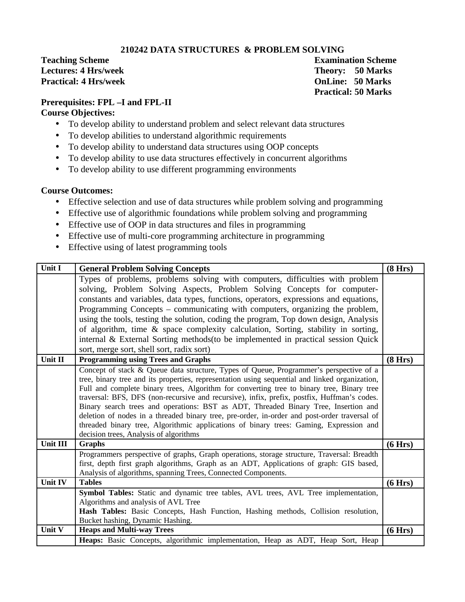### **210242 DATA STRUCTURES & PROBLEM SOLVING**

**Teaching Scheme Examination Scheme Lectures: 4 Hrs/week Theory: 50 Marks Practical: 4 Hrs/week OnLine: 50 Marks**

**Practical: 50 Marks**

## **Prerequisites: FPL –I and FPL-II**

### **Course Objectives:**

- To develop ability to understand problem and select relevant data structures
- To develop abilities to understand algorithmic requirements
- To develop ability to understand data structures using OOP concepts
- To develop ability to use data structures effectively in concurrent algorithms
- To develop ability to use different programming environments

### **Course Outcomes:**

- Effective selection and use of data structures while problem solving and programming
- Effective use of algorithmic foundations while problem solving and programming
- Effective use of OOP in data structures and files in programming
- Effective use of multi-core programming architecture in programming
- Effective using of latest programming tools

| Unit I         | <b>General Problem Solving Concepts</b>                                                        | (8 Hrs) |
|----------------|------------------------------------------------------------------------------------------------|---------|
|                | Types of problems, problems solving with computers, difficulties with problem                  |         |
|                | solving, Problem Solving Aspects, Problem Solving Concepts for computer-                       |         |
|                | constants and variables, data types, functions, operators, expressions and equations,          |         |
|                | Programming Concepts - communicating with computers, organizing the problem,                   |         |
|                | using the tools, testing the solution, coding the program, Top down design, Analysis           |         |
|                | of algorithm, time & space complexity calculation, Sorting, stability in sorting,              |         |
|                | internal & External Sorting methods (to be implemented in practical session Quick              |         |
|                | sort, merge sort, shell sort, radix sort)                                                      |         |
| Unit II        | <b>Programming using Trees and Graphs</b>                                                      | (8 Hrs) |
|                | Concept of stack & Queue data structure, Types of Queue, Programmer's perspective of a         |         |
|                | tree, binary tree and its properties, representation using sequential and linked organization, |         |
|                | Full and complete binary trees, Algorithm for converting tree to binary tree, Binary tree      |         |
|                | traversal: BFS, DFS (non-recursive and recursive), infix, prefix, postfix, Huffman's codes.    |         |
|                | Binary search trees and operations: BST as ADT, Threaded Binary Tree, Insertion and            |         |
|                | deletion of nodes in a threaded binary tree, pre-order, in-order and post-order traversal of   |         |
|                | threaded binary tree, Algorithmic applications of binary trees: Gaming, Expression and         |         |
|                | decision trees, Analysis of algorithms                                                         |         |
| Unit III       | <b>Graphs</b>                                                                                  | (6 Hrs) |
|                | Programmers perspective of graphs, Graph operations, storage structure, Traversal: Breadth     |         |
|                | first, depth first graph algorithms, Graph as an ADT, Applications of graph: GIS based,        |         |
|                | Analysis of algorithms, spanning Trees, Connected Components.                                  |         |
| <b>Unit IV</b> | <b>Tables</b>                                                                                  | (6 Hrs) |
|                | Symbol Tables: Static and dynamic tree tables, AVL trees, AVL Tree implementation,             |         |
|                | Algorithms and analysis of AVL Tree                                                            |         |
|                | Hash Tables: Basic Concepts, Hash Function, Hashing methods, Collision resolution,             |         |
| Unit V         | Bucket hashing, Dynamic Hashing.<br><b>Heaps and Multi-way Trees</b>                           |         |
|                | Heaps: Basic Concepts, algorithmic implementation, Heap as ADT, Heap Sort, Heap                | (6 Hrs) |
|                |                                                                                                |         |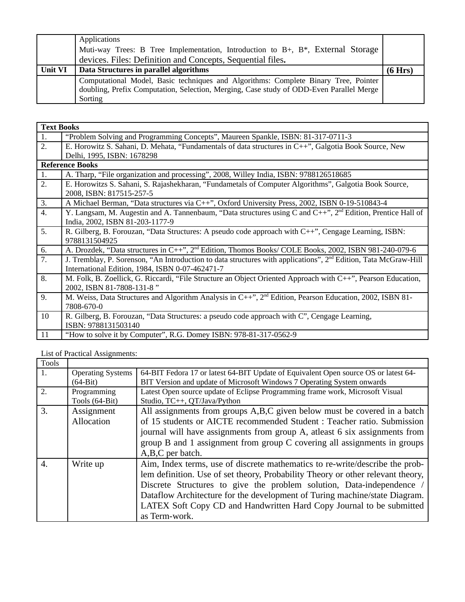|                | <b>Applications</b>                                                                     |         |
|----------------|-----------------------------------------------------------------------------------------|---------|
|                | Muti-way Trees: B Tree Implementation, Introduction to B+, B*, External Storage         |         |
|                | devices. Files: Definition and Concepts, Sequential files.                              |         |
| <b>Unit VI</b> | Data Structures in parallel algorithms                                                  | (6 Hrs) |
|                | Computational Model, Basic techniques and Algorithms: Complete Binary Tree, Pointer     |         |
|                | doubling, Prefix Computation, Selection, Merging, Case study of ODD-Even Parallel Merge |         |
|                | Sorting                                                                                 |         |

|                  | <b>Text Books</b>                                                                                                           |  |  |  |  |
|------------------|-----------------------------------------------------------------------------------------------------------------------------|--|--|--|--|
| 1.               | "Problem Solving and Programming Concepts", Maureen Spankle, ISBN: 81-317-0711-3                                            |  |  |  |  |
| 2.               | E. Horowitz S. Sahani, D. Mehata, "Fundamentals of data structures in C++", Galgotia Book Source, New                       |  |  |  |  |
|                  | Delhi, 1995, ISBN: 1678298                                                                                                  |  |  |  |  |
|                  | <b>Reference Books</b>                                                                                                      |  |  |  |  |
| 1.               | A. Tharp, "File organization and processing", 2008, Willey India, ISBN: 9788126518685                                       |  |  |  |  |
| 2.               | E. Horowitzs S. Sahani, S. Rajashekharan, "Fundametals of Computer Algorithms", Galgotia Book Source,                       |  |  |  |  |
|                  | 2008, ISBN: 817515-257-5                                                                                                    |  |  |  |  |
| 3.               | A Michael Berman, "Data structures via C++", Oxford University Press, 2002, ISBN 0-19-510843-4                              |  |  |  |  |
| $\overline{4}$ . | Y. Langsam, M. Augestin and A. Tannenbaum, "Data structures using C and C++", 2 <sup>nd</sup> Edition, Prentice Hall of     |  |  |  |  |
|                  | India, 2002, ISBN 81-203-1177-9                                                                                             |  |  |  |  |
| 5.               | R. Gilberg, B. Forouzan, "Data Structures: A pseudo code approach with C++", Cengage Learning, ISBN:                        |  |  |  |  |
|                  | 9788131504925                                                                                                               |  |  |  |  |
| 6.               | A. Drozdek, "Data structures in C++", 2 <sup>nd</sup> Edition, Thomos Books/ COLE Books, 2002, ISBN 981-240-079-6           |  |  |  |  |
| 7.               | J. Tremblay, P. Sorenson, "An Introduction to data structures with applications", 2 <sup>nd</sup> Edition, Tata McGraw-Hill |  |  |  |  |
|                  | International Edition, 1984, ISBN 0-07-462471-7                                                                             |  |  |  |  |
| 8.               | M. Folk, B. Zoellick, G. Riccardi, "File Structure an Object Oriented Approach with C++", Pearson Education,                |  |  |  |  |
|                  | 2002, ISBN 81-7808-131-8"                                                                                                   |  |  |  |  |
| 9.               | M. Weiss, Data Structures and Algorithm Analysis in $C++$ ", $2nd$ Edition, Pearson Education, 2002, ISBN 81-               |  |  |  |  |
|                  | 7808-670-0                                                                                                                  |  |  |  |  |
| 10               | R. Gilberg, B. Forouzan, "Data Structures: a pseudo code approach with C", Cengage Learning,                                |  |  |  |  |
|                  | ISBN: 9788131503140                                                                                                         |  |  |  |  |
| 11               | "How to solve it by Computer", R.G. Domey ISBN: 978-81-317-0562-9                                                           |  |  |  |  |

List of Practical Assignments:

| Tools |                          |                                                                                                                                                                                                                                                                                                                                                                                                               |
|-------|--------------------------|---------------------------------------------------------------------------------------------------------------------------------------------------------------------------------------------------------------------------------------------------------------------------------------------------------------------------------------------------------------------------------------------------------------|
| 1.    | <b>Operating Systems</b> | 64-BIT Fedora 17 or latest 64-BIT Update of Equivalent Open source OS or latest 64-                                                                                                                                                                                                                                                                                                                           |
|       | $(64-Bit)$               | BIT Version and update of Microsoft Windows 7 Operating System onwards                                                                                                                                                                                                                                                                                                                                        |
| 2.    | Programming              | Latest Open source update of Eclipse Programming frame work, Microsoft Visual                                                                                                                                                                                                                                                                                                                                 |
|       | Tools (64-Bit)           | Studio, TC++, QT/Java/Python                                                                                                                                                                                                                                                                                                                                                                                  |
| 3.    | Assignment<br>Allocation | All assignments from groups A,B,C given below must be covered in a batch<br>of 15 students or AICTE recommended Student : Teacher ratio. Submission                                                                                                                                                                                                                                                           |
|       |                          | journal will have assignments from group A, atleast 6 six assignments from<br>group B and 1 assignment from group C covering all assignments in groups                                                                                                                                                                                                                                                        |
|       |                          | A,B,C per batch.                                                                                                                                                                                                                                                                                                                                                                                              |
| 4.    | Write up                 | Aim, Index terms, use of discrete mathematics to re-write/describe the prob-<br>lem definition. Use of set theory, Probability Theory or other relevant theory,<br>Discrete Structures to give the problem solution, Data-independence<br>Dataflow Architecture for the development of Turing machine/state Diagram.<br>LATEX Soft Copy CD and Handwritten Hard Copy Journal to be submitted<br>as Term-work. |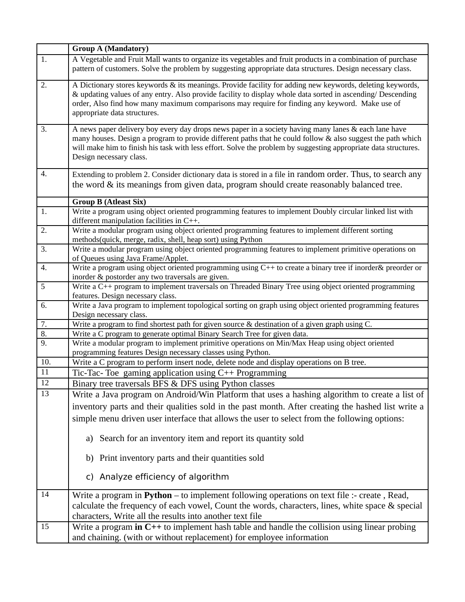|     | <b>Group A (Mandatory)</b>                                                                                                                                                                                                                                                                                                                                        |  |  |  |
|-----|-------------------------------------------------------------------------------------------------------------------------------------------------------------------------------------------------------------------------------------------------------------------------------------------------------------------------------------------------------------------|--|--|--|
| 1.  | A Vegetable and Fruit Mall wants to organize its vegetables and fruit products in a combination of purchase<br>pattern of customers. Solve the problem by suggesting appropriate data structures. Design necessary class.                                                                                                                                         |  |  |  |
| 2.  | A Dictionary stores keywords & its meanings. Provide facility for adding new keywords, deleting keywords,<br>& updating values of any entry. Also provide facility to display whole data sorted in ascending/ Descending<br>order, Also find how many maximum comparisons may require for finding any keyword. Make use of<br>appropriate data structures.        |  |  |  |
| 3.  | A news paper delivery boy every day drops news paper in a society having many lanes & each lane have<br>many houses. Design a program to provide different paths that he could follow & also suggest the path which<br>will make him to finish his task with less effort. Solve the problem by suggesting appropriate data structures.<br>Design necessary class. |  |  |  |
| 4.  | Extending to problem 2. Consider dictionary data is stored in a file in random order. Thus, to search any<br>the word & its meanings from given data, program should create reasonably balanced tree.                                                                                                                                                             |  |  |  |
|     | <b>Group B (Atleast Six)</b>                                                                                                                                                                                                                                                                                                                                      |  |  |  |
| 1.  | Write a program using object oriented programming features to implement Doubly circular linked list with<br>different manipulation facilities in C++.                                                                                                                                                                                                             |  |  |  |
| 2.  | Write a modular program using object oriented programming features to implement different sorting<br>methods(quick, merge, radix, shell, heap sort) using Python                                                                                                                                                                                                  |  |  |  |
| 3.  | Write a modular program using object oriented programming features to implement primitive operations on<br>of Queues using Java Frame/Applet.                                                                                                                                                                                                                     |  |  |  |
| 4.  | Write a program using object oriented programming using C++ to create a binary tree if inorder& preorder or<br>inorder & postorder any two traversals are given.                                                                                                                                                                                                  |  |  |  |
| 5   | Write a C++ program to implement traversals on Threaded Binary Tree using object oriented programming<br>features. Design necessary class.                                                                                                                                                                                                                        |  |  |  |
| 6.  | Write a Java program to implement topological sorting on graph using object oriented programming features<br>Design necessary class.                                                                                                                                                                                                                              |  |  |  |
| 7.  | Write a program to find shortest path for given source & destination of a given graph using C.                                                                                                                                                                                                                                                                    |  |  |  |
| 8.  | Write a C program to generate optimal Binary Search Tree for given data.                                                                                                                                                                                                                                                                                          |  |  |  |
| 9.  | Write a modular program to implement primitive operations on Min/Max Heap using object oriented<br>programming features Design necessary classes using Python.                                                                                                                                                                                                    |  |  |  |
| 10. | Write a C program to perform insert node, delete node and display operations on B tree.                                                                                                                                                                                                                                                                           |  |  |  |
| 11  | Tic-Tac-Toe gaming application using $C++$ Programming                                                                                                                                                                                                                                                                                                            |  |  |  |
| 12  | Binary tree traversals BFS & DFS using Python classes                                                                                                                                                                                                                                                                                                             |  |  |  |
| 13  | Write a Java program on Android/Win Platform that uses a hashing algorithm to create a list of                                                                                                                                                                                                                                                                    |  |  |  |
|     | inventory parts and their qualities sold in the past month. After creating the hashed list write a                                                                                                                                                                                                                                                                |  |  |  |
|     | simple menu driven user interface that allows the user to select from the following options:                                                                                                                                                                                                                                                                      |  |  |  |
|     | a) Search for an inventory item and report its quantity sold                                                                                                                                                                                                                                                                                                      |  |  |  |
|     | Print inventory parts and their quantities sold<br>b)                                                                                                                                                                                                                                                                                                             |  |  |  |
|     | c) Analyze efficiency of algorithm                                                                                                                                                                                                                                                                                                                                |  |  |  |
| 14  | Write a program in $Python - to implement following operations on text file :- create, Read,$<br>calculate the frequency of each vowel, Count the words, characters, lines, white space & special<br>characters, Write all the results into another text file                                                                                                     |  |  |  |
| 15  | Write a program in $C++$ to implement hash table and handle the collision using linear probing<br>and chaining. (with or without replacement) for employee information                                                                                                                                                                                            |  |  |  |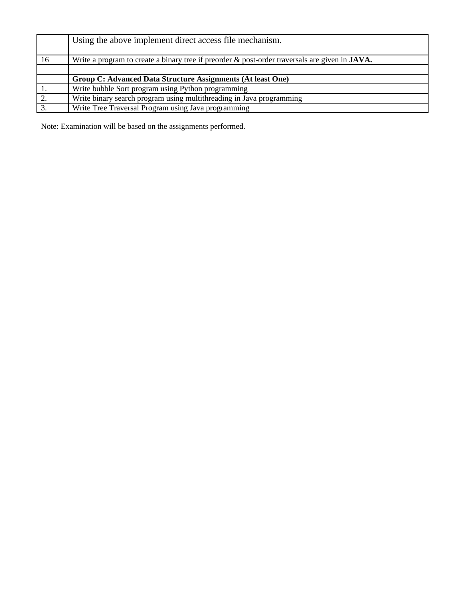|    | Using the above implement direct access file mechanism.                                               |
|----|-------------------------------------------------------------------------------------------------------|
| 16 | Write a program to create a binary tree if preorder & post-order traversals are given in <b>JAVA.</b> |
|    |                                                                                                       |
|    | Group C: Advanced Data Structure Assignments (At least One)                                           |
|    | Write bubble Sort program using Python programming                                                    |
|    | Write binary search program using multithreading in Java programming                                  |
|    | Write Tree Traversal Program using Java programming                                                   |

Note: Examination will be based on the assignments performed.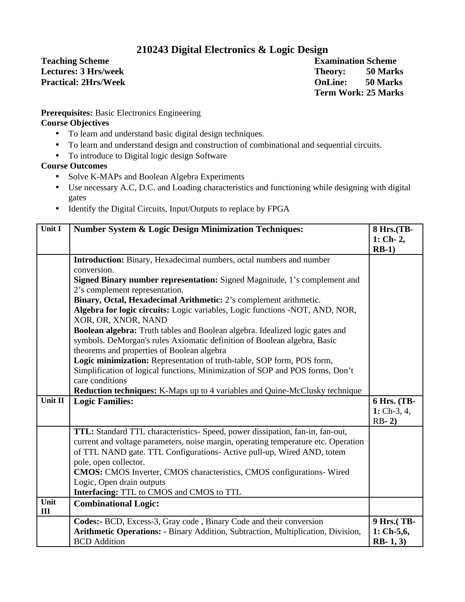## **210243 Digital Electronics & Logic Design**

**Teaching Scheme** Examination Scheme Examination Scheme

**Lectures: 3 Hrs/week Theory:** 50 Marks **Practical: 2Hrs/Week OnLine: 50 Marks Term Work: 25 Marks**

**Prerequisites:** Basic Electronics Engineering **Course Objectives**

- To learn and understand basic digital design techniques.
- To learn and understand design and construction of combinational and sequential circuits.
- To introduce to Digital logic design Software

**Course Outcomes**

- Solve K-MAPs and Boolean Algebra Experiments
- Use necessary A.C, D.C. and Loading characteristics and functioning while designing with digital gates
- Identify the Digital Circuits, Input/Outputs to replace by FPGA

| Unit I      | <b>Number System &amp; Logic Design Minimization Techniques:</b>                                                                                         |               |  |
|-------------|----------------------------------------------------------------------------------------------------------------------------------------------------------|---------------|--|
|             |                                                                                                                                                          | $1:$ Ch-2,    |  |
|             | Introduction: Binary, Hexadecimal numbers, octal numbers and number                                                                                      | $RB-1)$       |  |
|             | conversion.                                                                                                                                              |               |  |
|             | Signed Binary number representation: Signed Magnitude, 1's complement and                                                                                |               |  |
|             | 2's complement representation.                                                                                                                           |               |  |
|             | Binary, Octal, Hexadecimal Arithmetic: 2's complement arithmetic.                                                                                        |               |  |
|             | Algebra for logic circuits: Logic variables, Logic functions -NOT, AND, NOR,<br>XOR, OR, XNOR, NAND                                                      |               |  |
|             | Boolean algebra: Truth tables and Boolean algebra. Idealized logic gates and<br>symbols. DeMorgan's rules Axiomatic definition of Boolean algebra, Basic |               |  |
|             | theorems and properties of Boolean algebra                                                                                                               |               |  |
|             | Logic minimization: Representation of truth-table, SOP form, POS form,                                                                                   |               |  |
|             | Simplification of logical functions, Minimization of SOP and POS forms, Don't<br>care conditions                                                         |               |  |
|             | Reduction techniques: K-Maps up to 4 variables and Quine-McClusky technique                                                                              |               |  |
| Unit II     | <b>Logic Families:</b>                                                                                                                                   | 6 Hrs. (TB-   |  |
|             |                                                                                                                                                          | $1:$ Ch-3, 4, |  |
|             |                                                                                                                                                          | $RB-2)$       |  |
|             | TTL: Standard TTL characteristics- Speed, power dissipation, fan-in, fan-out,                                                                            |               |  |
|             | current and voltage parameters, noise margin, operating temperature etc. Operation                                                                       |               |  |
|             | of TTL NAND gate. TTL Configurations- Active pull-up, Wired AND, totem                                                                                   |               |  |
|             | pole, open collector.                                                                                                                                    |               |  |
|             | <b>CMOS:</b> CMOS Inverter, CMOS characteristics, CMOS configurations- Wired                                                                             |               |  |
|             | Logic, Open drain outputs                                                                                                                                |               |  |
|             | Interfacing: TTL to CMOS and CMOS to TTL                                                                                                                 |               |  |
| Unit<br>III | <b>Combinational Logic:</b>                                                                                                                              |               |  |
|             | Codes:- BCD, Excess-3, Gray code, Binary Code and their conversion                                                                                       | 9 Hrs.(TB-    |  |
|             | Arithmetic Operations: - Binary Addition, Subtraction, Multiplication, Division,                                                                         | $1:$ Ch-5,6,  |  |
|             | <b>BCD</b> Addition                                                                                                                                      | $RB-1, 3)$    |  |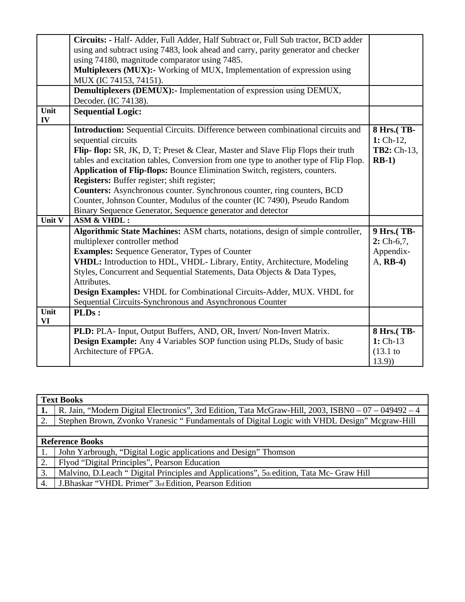|            | Circuits: - Half- Adder, Full Adder, Half Subtract or, Full Sub tractor, BCD adder<br>using and subtract using 7483, look ahead and carry, parity generator and checker |                           |
|------------|-------------------------------------------------------------------------------------------------------------------------------------------------------------------------|---------------------------|
|            | using 74180, magnitude comparator using 7485.                                                                                                                           |                           |
|            | Multiplexers (MUX):- Working of MUX, Implementation of expression using                                                                                                 |                           |
|            | MUX (IC 74153, 74151).                                                                                                                                                  |                           |
|            | Demultiplexers (DEMUX):- Implementation of expression using DEMUX,                                                                                                      |                           |
|            | Decoder. (IC 74138).                                                                                                                                                    |                           |
| Unit<br>IV | <b>Sequential Logic:</b>                                                                                                                                                |                           |
|            | Introduction: Sequential Circuits. Difference between combinational circuits and<br>sequential circuits                                                                 | 8 Hrs.(TB-<br>$1:$ Ch-12, |
|            | Flip-flop: SR, JK, D, T; Preset & Clear, Master and Slave Flip Flops their truth                                                                                        | TB2: Ch-13,               |
|            | tables and excitation tables, Conversion from one type to another type of Flip Flop.                                                                                    | $RB-1)$                   |
|            | Application of Flip-flops: Bounce Elimination Switch, registers, counters.                                                                                              |                           |
|            | Registers: Buffer register; shift register;                                                                                                                             |                           |
|            | <b>Counters:</b> Asynchronous counter. Synchronous counter, ring counters, BCD                                                                                          |                           |
|            | Counter, Johnson Counter, Modulus of the counter (IC 7490), Pseudo Random                                                                                               |                           |
|            | Binary Sequence Generator, Sequence generator and detector                                                                                                              |                           |
| Unit V     | <b>ASM &amp; VHDL:</b>                                                                                                                                                  |                           |
|            | Algorithmic State Machines: ASM charts, notations, design of simple controller,                                                                                         | 9 Hrs.(TB-                |
|            | multiplexer controller method                                                                                                                                           | $2:$ Ch-6,7,              |
|            | <b>Examples:</b> Sequence Generator, Types of Counter                                                                                                                   | Appendix-                 |
|            | VHDL: Introduction to HDL, VHDL- Library, Entity, Architecture, Modeling                                                                                                | A, RB-4)                  |
|            | Styles, Concurrent and Sequential Statements, Data Objects & Data Types,                                                                                                |                           |
|            | Attributes.                                                                                                                                                             |                           |
|            | Design Examples: VHDL for Combinational Circuits-Adder, MUX. VHDL for                                                                                                   |                           |
|            | Sequential Circuits-Synchronous and Asynchronous Counter                                                                                                                |                           |
| Unit<br>VI | PLDs:                                                                                                                                                                   |                           |
|            | PLD: PLA- Input, Output Buffers, AND, OR, Invert/ Non-Invert Matrix.                                                                                                    | 8 Hrs.(TB-                |
|            | <b>Design Example:</b> Any 4 Variables SOP function using PLDs, Study of basic                                                                                          | 1: Ch-13                  |
|            | Architecture of FPGA.                                                                                                                                                   | (13.1)                    |
|            |                                                                                                                                                                         | (13.9)                    |

| <b>Text Books</b> |                                                                                                      |  |  |
|-------------------|------------------------------------------------------------------------------------------------------|--|--|
|                   | R. Jain, "Modern Digital Electronics", 3rd Edition, Tata McGraw-Hill, 2003, ISBN0 $-07 - 049492 - 4$ |  |  |
| 2.                | Stephen Brown, Zvonko Vranesic "Fundamentals of Digital Logic with VHDL Design" Mcgraw-Hill          |  |  |
|                   |                                                                                                      |  |  |
|                   | <b>Reference Books</b>                                                                               |  |  |
|                   | John Yarbrough, "Digital Logic applications and Design" Thomson                                      |  |  |
| 2.                | Flyod "Digital Principles", Pearson Education                                                        |  |  |
| 3.                | Malvino, D.Leach " Digital Principles and Applications", 5th edition, Tata Mc- Graw Hill             |  |  |
| 4.                | J.Bhaskar "VHDL Primer" 3rd Edition, Pearson Edition                                                 |  |  |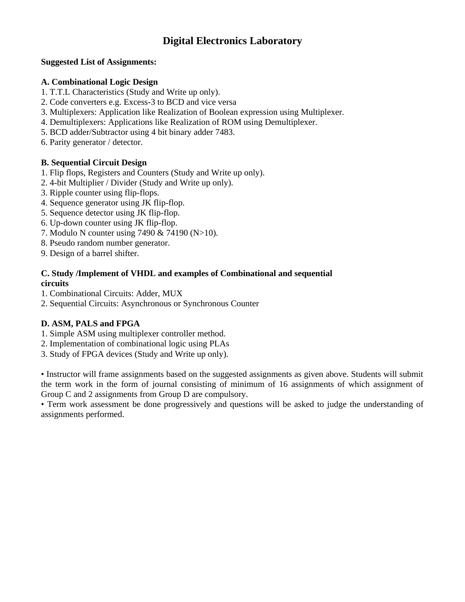## **Digital Electronics Laboratory**

### **Suggested List of Assignments:**

### **A. Combinational Logic Design**

- 1. T.T.L Characteristics (Study and Write up only).
- 2. Code converters e.g. Excess-3 to BCD and vice versa
- 3. Multiplexers: Application like Realization of Boolean expression using Multiplexer.
- 4. Demultiplexers: Applications like Realization of ROM using Demultiplexer.
- 5. BCD adder/Subtractor using 4 bit binary adder 7483.
- 6. Parity generator / detector.

### **B. Sequential Circuit Design**

- 1. Flip flops, Registers and Counters (Study and Write up only).
- 2. 4-bit Multiplier / Divider (Study and Write up only).
- 3. Ripple counter using flip-flops.
- 4. Sequence generator using JK flip-flop.
- 5. Sequence detector using JK flip-flop.
- 6. Up-down counter using JK flip-flop.
- 7. Modulo N counter using 7490 & 74190 (N>10).
- 8. Pseudo random number generator.
- 9. Design of a barrel shifter.

### **C. Study /Implement of VHDL and examples of Combinational and sequential circuits**

- 1. Combinational Circuits: Adder, MUX
- 2. Sequential Circuits: Asynchronous or Synchronous Counter

### **D. ASM, PALS and FPGA**

- 1. Simple ASM using multiplexer controller method.
- 2. Implementation of combinational logic using PLAs
- 3. Study of FPGA devices (Study and Write up only).

• Instructor will frame assignments based on the suggested assignments as given above. Students will submit the term work in the form of journal consisting of minimum of 16 assignments of which assignment of Group C and 2 assignments from Group D are compulsory.

• Term work assessment be done progressively and questions will be asked to judge the understanding of assignments performed.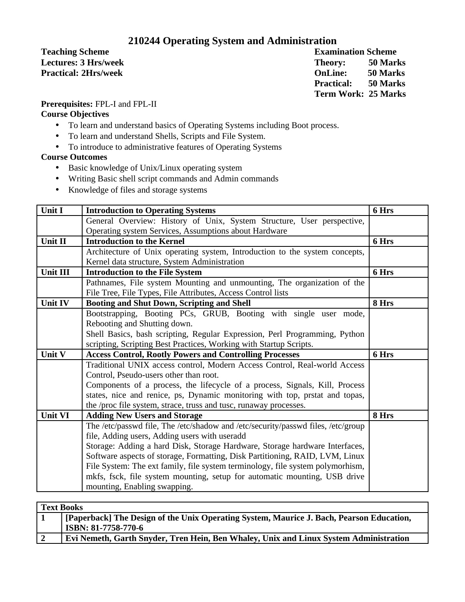## **210244 Operating System and Administration**

**Teaching Scheme** Examination Scheme

**Lectures: 3 Hrs/week Theory: 50 Marks Practical: 2Hrs/week OnLine: 50 Marks Practical: 50 Marks Term Work: 25 Marks**

**Prerequisites:** FPL-I and FPL-II

### **Course Objectives**

- To learn and understand basics of Operating Systems including Boot process.
- To learn and understand Shells, Scripts and File System.
- To introduce to administrative features of Operating Systems

### **Course Outcomes**

- Basic knowledge of Unix/Linux operating system
- Writing Basic shell script commands and Admin commands
- Knowledge of files and storage systems

| Unit I         | <b>Introduction to Operating Systems</b>                                                                  | 6 Hrs |
|----------------|-----------------------------------------------------------------------------------------------------------|-------|
|                | General Overview: History of Unix, System Structure, User perspective,                                    |       |
|                | Operating system Services, Assumptions about Hardware                                                     |       |
| Unit II        | <b>Introduction to the Kernel</b>                                                                         | 6 Hrs |
|                | Architecture of Unix operating system, Introduction to the system concepts,                               |       |
|                | Kernel data structure, System Administration                                                              |       |
| Unit III       | <b>Introduction to the File System</b>                                                                    | 6 Hrs |
|                | Pathnames, File system Mounting and unmounting, The organization of the                                   |       |
|                | File Tree, File Types, File Attributes, Access Control lists                                              |       |
| Unit IV        | <b>Booting and Shut Down, Scripting and Shell</b>                                                         | 8 Hrs |
|                | Bootstrapping, Booting PCs, GRUB, Booting with single user mode,                                          |       |
|                | Rebooting and Shutting down.                                                                              |       |
|                | Shell Basics, bash scripting, Regular Expression, Perl Programming, Python                                |       |
|                | scripting, Scripting Best Practices, Working with Startup Scripts.                                        |       |
|                |                                                                                                           |       |
| Unit V         | <b>Access Control, Rootly Powers and Controlling Processes</b>                                            | 6 Hrs |
|                | Traditional UNIX access control, Modern Access Control, Real-world Access                                 |       |
|                | Control, Pseudo-users other than root.                                                                    |       |
|                | Components of a process, the lifecycle of a process, Signals, Kill, Process                               |       |
|                | states, nice and renice, ps, Dynamic monitoring with top, prstat and topas,                               |       |
|                | the /proc file system, strace, truss and tusc, runaway processes.                                         |       |
| <b>Unit VI</b> | <b>Adding New Users and Storage</b>                                                                       | 8 Hrs |
|                | The /etc/passwd file, The /etc/shadow and /etc/security/passwd files, /etc/group                          |       |
|                | file, Adding users, Adding users with useradd                                                             |       |
|                | Storage: Adding a hard Disk, Storage Hardware, Storage hardware Interfaces,                               |       |
|                | Software aspects of storage, Formatting, Disk Partitioning, RAID, LVM, Linux                              |       |
|                | File System: The ext family, file system terminology, file system polymorhism,                            |       |
|                | mkfs, fsck, file system mounting, setup for automatic mounting, USB drive<br>mounting, Enabling swapping. |       |

| <b>Text Books</b> |                                                                                          |  |
|-------------------|------------------------------------------------------------------------------------------|--|
|                   | [Paperback] The Design of the Unix Operating System, Maurice J. Bach, Pearson Education, |  |
|                   | ISBN: 81-7758-770-6                                                                      |  |
|                   | Evi Nemeth, Garth Snyder, Tren Hein, Ben Whaley, Unix and Linux System Administration    |  |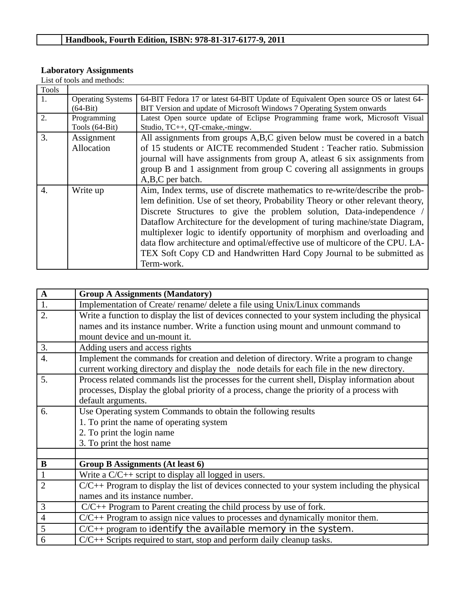### **Laboratory Assignments**

List of tools and methods:

| Tools |                          |                                                                                     |
|-------|--------------------------|-------------------------------------------------------------------------------------|
| 1.    | <b>Operating Systems</b> | 64-BIT Fedora 17 or latest 64-BIT Update of Equivalent Open source OS or latest 64- |
|       | $(64-Bit)$               | BIT Version and update of Microsoft Windows 7 Operating System onwards              |
| 2.    | Programming              | Latest Open source update of Eclipse Programming frame work, Microsoft Visual       |
|       | Tools (64-Bit)           | Studio, TC++, QT-cmake,-mingw.                                                      |
| 3.    | Assignment               | All assignments from groups A,B,C given below must be covered in a batch            |
|       | Allocation               | of 15 students or AICTE recommended Student : Teacher ratio. Submission             |
|       |                          | journal will have assignments from group A, atleast 6 six assignments from          |
|       |                          | group B and 1 assignment from group C covering all assignments in groups            |
|       |                          | A,B,C per batch.                                                                    |
| 4.    | Write up                 | Aim, Index terms, use of discrete mathematics to re-write/describe the prob-        |
|       |                          | lem definition. Use of set theory, Probability Theory or other relevant theory,     |
|       |                          | Discrete Structures to give the problem solution, Data-independence /               |
|       |                          | Dataflow Architecture for the development of turing machine/state Diagram,          |
|       |                          | multiplexer logic to identify opportunity of morphism and overloading and           |
|       |                          | data flow architecture and optimal/effective use of multicore of the CPU. LA-       |
|       |                          | TEX Soft Copy CD and Handwritten Hard Copy Journal to be submitted as               |
|       |                          | Term-work.                                                                          |

| $\mathbf A$    | <b>Group A Assignments (Mandatory)</b>                                                                                                                                                 |
|----------------|----------------------------------------------------------------------------------------------------------------------------------------------------------------------------------------|
| 1.             | Implementation of Create/rename/delete a file using Unix/Linux commands                                                                                                                |
| 2.             | Write a function to display the list of devices connected to your system including the physical                                                                                        |
|                | names and its instance number. Write a function using mount and unmount command to                                                                                                     |
|                | mount device and un-mount it.                                                                                                                                                          |
| 3.             | Adding users and access rights                                                                                                                                                         |
| 4.             | Implement the commands for creation and deletion of directory. Write a program to change<br>current working directory and display the node details for each file in the new directory. |
| 5.             | Process related commands list the processes for the current shell, Display information about                                                                                           |
|                | processes, Display the global priority of a process, change the priority of a process with                                                                                             |
|                | default arguments.                                                                                                                                                                     |
| 6.             | Use Operating system Commands to obtain the following results                                                                                                                          |
|                | 1. To print the name of operating system                                                                                                                                               |
|                | 2. To print the login name                                                                                                                                                             |
|                | 3. To print the host name                                                                                                                                                              |
|                |                                                                                                                                                                                        |
| $\bf{B}$       | <b>Group B Assignments (At least 6)</b>                                                                                                                                                |
| $\mathbf{1}$   | Write a $C/C++$ script to display all logged in users.                                                                                                                                 |
| $\overline{2}$ | $C/C++$ Program to display the list of devices connected to your system including the physical                                                                                         |
|                | names and its instance number.                                                                                                                                                         |
| 3              | $C/C++$ Program to Parent creating the child process by use of fork.                                                                                                                   |
| $\overline{4}$ | $C/C++$ Program to assign nice values to processes and dynamically monitor them.                                                                                                       |
| 5              | $C/C++$ program to identify the available memory in the system.                                                                                                                        |
| 6              | C/C++ Scripts required to start, stop and perform daily cleanup tasks.                                                                                                                 |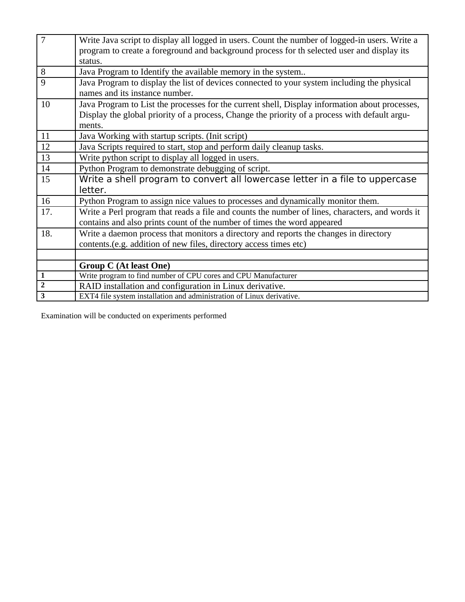| 7              | Write Java script to display all logged in users. Count the number of logged-in users. Write a  |
|----------------|-------------------------------------------------------------------------------------------------|
|                | program to create a foreground and background process for th selected user and display its      |
|                | status.                                                                                         |
| 8              | Java Program to Identify the available memory in the system                                     |
| 9              | Java Program to display the list of devices connected to your system including the physical     |
|                | names and its instance number.                                                                  |
| 10             | Java Program to List the processes for the current shell, Display information about processes,  |
|                | Display the global priority of a process, Change the priority of a process with default argu-   |
|                | ments.                                                                                          |
| 11             | Java Working with startup scripts. (Init script)                                                |
| 12             | Java Scripts required to start, stop and perform daily cleanup tasks.                           |
| 13             | Write python script to display all logged in users.                                             |
| 14             | Python Program to demonstrate debugging of script.                                              |
| 15             | Write a shell program to convert all lowercase letter in a file to uppercase                    |
|                | letter.                                                                                         |
| 16             | Python Program to assign nice values to processes and dynamically monitor them.                 |
| 17.            | Write a Perl program that reads a file and counts the number of lines, characters, and words it |
|                | contains and also prints count of the number of times the word appeared                         |
| 18.            | Write a daemon process that monitors a directory and reports the changes in directory           |
|                | contents.(e.g. addition of new files, directory access times etc)                               |
|                |                                                                                                 |
|                | <b>Group C (At least One)</b>                                                                   |
| $\mathbf{1}$   | Write program to find number of CPU cores and CPU Manufacturer                                  |
| $\overline{2}$ | RAID installation and configuration in Linux derivative.                                        |
| 3              | EXT4 file system installation and administration of Linux derivative.                           |

Examination will be conducted on experiments performed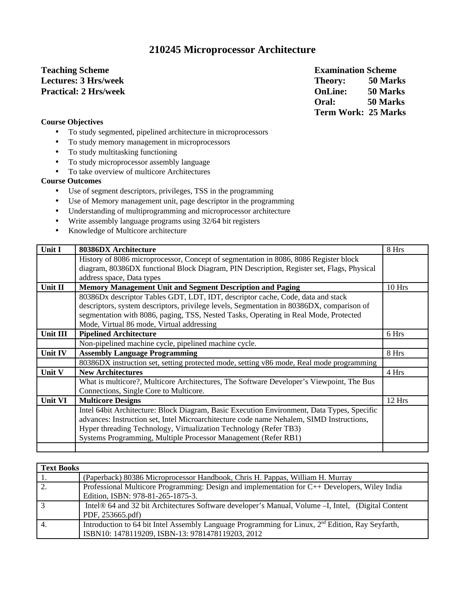### **210245 Microprocessor Architecture**

# **Teaching Scheme Examination Scheme**

**Lectures: 3 Hrs/week Theory: 50 Marks Practical: 2 Hrs/week OnLine: 50 Marks Oral: 50 Marks Term Work: 25 Marks**

### **Course Objectives**

- To study segmented, pipelined architecture in microprocessors
- To study memory management in microprocessors
- To study multitasking functioning
- To study microprocessor assembly language
- To take overview of multicore Architectures

### **Course Outcomes**

- Use of segment descriptors, privileges, TSS in the programming
- Use of Memory management unit, page descriptor in the programming
- Understanding of multiprogramming and microprocessor architecture
- Write assembly language programs using 32/64 bit registers
- Knowledge of Multicore architecture

| Unit I         | 80386DX Architecture                                                                       | 8 Hrs  |
|----------------|--------------------------------------------------------------------------------------------|--------|
|                | History of 8086 microprocessor, Concept of segmentation in 8086, 8086 Register block       |        |
|                | diagram, 80386DX functional Block Diagram, PIN Description, Register set, Flags, Physical  |        |
|                | address space, Data types                                                                  |        |
| Unit II        | <b>Memory Management Unit and Segment Description and Paging</b>                           | 10 Hrs |
|                | 80386Dx descriptor Tables GDT, LDT, IDT, descriptor cache, Code, data and stack            |        |
|                | descriptors, system descriptors, privilege levels, Segmentation in 80386DX, comparison of  |        |
|                | segmentation with 8086, paging, TSS, Nested Tasks, Operating in Real Mode, Protected       |        |
|                | Mode, Virtual 86 mode, Virtual addressing                                                  |        |
| Unit III       | <b>Pipelined Architecture</b>                                                              | 6 Hrs  |
|                | Non-pipelined machine cycle, pipelined machine cycle.                                      |        |
| Unit IV        | <b>Assembly Language Programming</b>                                                       | 8 Hrs  |
|                | 80386DX instruction set, setting protected mode, setting v86 mode, Real mode programming   |        |
| Unit V         | <b>New Architectures</b>                                                                   | 4 Hrs  |
|                | What is multicore?, Multicore Architectures, The Software Developer's Viewpoint, The Bus   |        |
|                | Connections, Single Core to Multicore.                                                     |        |
| <b>Unit VI</b> | <b>Multicore Designs</b>                                                                   | 12 Hrs |
|                | Intel 64bit Architecture: Block Diagram, Basic Execution Environment, Data Types, Specific |        |
|                | advances: Instruction set, Intel Microarchitecture code name Nehalem, SIMD Instructions,   |        |
|                | Hyper threading Technology, Virtualization Technology (Refer TB3)                          |        |
|                | Systems Programming, Multiple Processor Management (Refer RB1)                             |        |
|                |                                                                                            |        |

| <b>Text Books</b> |                                                                                                              |  |  |
|-------------------|--------------------------------------------------------------------------------------------------------------|--|--|
|                   | (Paperback) 80386 Microprocessor Handbook, Chris H. Pappas, William H. Murray                                |  |  |
|                   | Professional Multicore Programming: Design and implementation for C++ Developers, Wiley India                |  |  |
|                   | Edition, ISBN: 978-81-265-1875-3.                                                                            |  |  |
|                   | Intel® 64 and 32 bit Architectures Software developer's Manual, Volume -I, Intel, (Digital Content           |  |  |
|                   | PDF, 253665.pdf)                                                                                             |  |  |
|                   | Introduction to 64 bit Intel Assembly Language Programming for Linux, 2 <sup>nd</sup> Edition, Ray Seyfarth, |  |  |
|                   | ISBN10: 1478119209, ISBN-13: 9781478119203, 2012                                                             |  |  |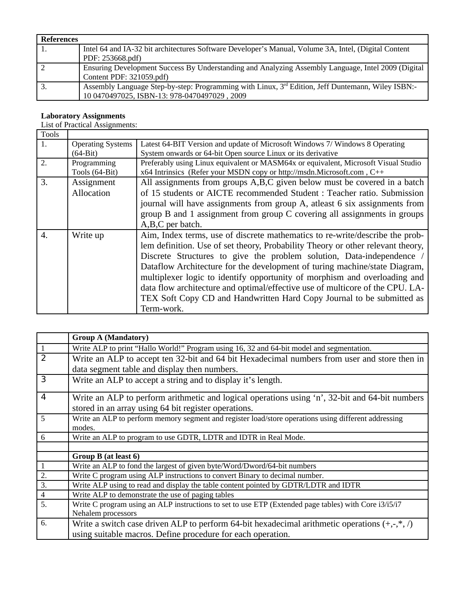| References |                                                                                                      |
|------------|------------------------------------------------------------------------------------------------------|
|            | Intel 64 and IA-32 bit architectures Software Developer's Manual, Volume 3A, Intel, (Digital Content |
|            | PDF: 253668.pdf)                                                                                     |
| -2         | Ensuring Development Success By Understanding and Analyzing Assembly Language, Intel 2009 (Digital   |
|            | Content PDF: 321059.pdf)                                                                             |
| З.         | Assembly Language Step-by-step: Programming with Linux, 3rd Edition, Jeff Duntemann, Wiley ISBN:-    |
|            | 10 0470497025, ISBN-13: 978-0470497029, 2009                                                         |

### **Laboratory Assignments**

List of Practical Assignments:

| Tools            |                          |                                                                                     |
|------------------|--------------------------|-------------------------------------------------------------------------------------|
| 1.               | <b>Operating Systems</b> | Latest 64-BIT Version and update of Microsoft Windows 7/ Windows 8 Operating        |
|                  | $(64-Bit)$               | System onwards or 64-bit Open source Linux or its derivative                        |
| 2.               | Programming              | Preferably using Linux equivalent or MASM64x or equivalent, Microsoft Visual Studio |
|                  | Tools (64-Bit)           | x64 Intrinsics (Refer your MSDN copy or http://msdn.Microsoft.com, C++              |
| 3.               | Assignment               | All assignments from groups A,B,C given below must be covered in a batch            |
|                  | Allocation               | of 15 students or AICTE recommended Student : Teacher ratio. Submission             |
|                  |                          | journal will have assignments from group A, atleast 6 six assignments from          |
|                  |                          | group B and 1 assignment from group C covering all assignments in groups            |
|                  |                          | A,B,C per batch.                                                                    |
| $\overline{4}$ . | Write up                 | Aim, Index terms, use of discrete mathematics to re-write/describe the prob-        |
|                  |                          | lem definition. Use of set theory, Probability Theory or other relevant theory,     |
|                  |                          | Discrete Structures to give the problem solution, Data-independence                 |
|                  |                          | Dataflow Architecture for the development of turing machine/state Diagram,          |
|                  |                          | multiplexer logic to identify opportunity of morphism and overloading and           |
|                  |                          | data flow architecture and optimal/effective use of multicore of the CPU. LA-       |
|                  |                          |                                                                                     |
|                  |                          | TEX Soft Copy CD and Handwritten Hard Copy Journal to be submitted as               |
|                  |                          | Term-work.                                                                          |

|                  | <b>Group A (Mandatory)</b>                                                                            |
|------------------|-------------------------------------------------------------------------------------------------------|
|                  | Write ALP to print "Hallo World!" Program using 16, 32 and 64-bit model and segmentation.             |
| $\overline{2}$   | Write an ALP to accept ten 32-bit and 64 bit Hexadecimal numbers from user and store then in          |
|                  | data segment table and display then numbers.                                                          |
| $\overline{3}$   | Write an ALP to accept a string and to display it's length.                                           |
| $\overline{4}$   | Write an ALP to perform arithmetic and logical operations using 'n', 32-bit and 64-bit numbers        |
|                  | stored in an array using 64 bit register operations.                                                  |
| 5                | Write an ALP to perform memory segment and register load/store operations using different addressing  |
|                  | modes.                                                                                                |
| 6                | Write an ALP to program to use GDTR, LDTR and IDTR in Real Mode.                                      |
|                  |                                                                                                       |
|                  | Group B (at least 6)                                                                                  |
| $\mathbf{1}$     | Write an ALP to fond the largest of given byte/Word/Dword/64-bit numbers                              |
| $\overline{2}$ . | Write C program using ALP instructions to convert Binary to decimal number.                           |
| $\overline{3}$ . | Write ALP using to read and display the table content pointed by GDTR/LDTR and IDTR                   |
| $\overline{4}$   | Write ALP to demonstrate the use of paging tables                                                     |
| 5.               | Write C program using an ALP instructions to set to use ETP (Extended page tables) with Core i3/i5/i7 |
|                  | Nehalem processors                                                                                    |
| 6.               | Write a switch case driven ALP to perform 64-bit hexadecimal arithmetic operations $(+,-,*,')$        |
|                  | using suitable macros. Define procedure for each operation.                                           |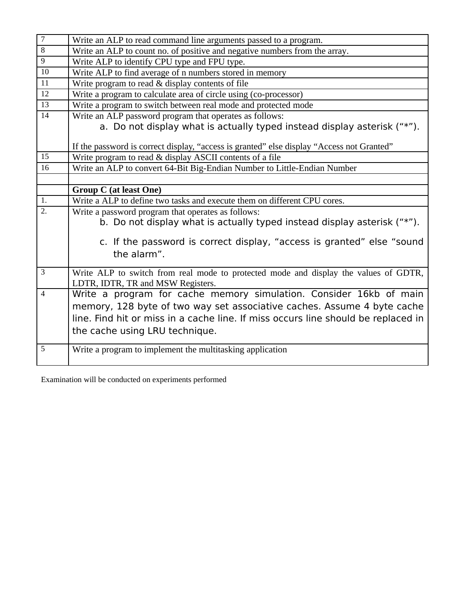| $\overline{7}$  | Write an ALP to read command line arguments passed to a program.                          |
|-----------------|-------------------------------------------------------------------------------------------|
| 8               | Write an ALP to count no. of positive and negative numbers from the array.                |
| $\overline{9}$  | Write ALP to identify CPU type and FPU type.                                              |
| 10              | Write ALP to find average of n numbers stored in memory                                   |
| 11              | Write program to read & display contents of file                                          |
| 12              | Write a program to calculate area of circle using (co-processor)                          |
| $\overline{13}$ | Write a program to switch between real mode and protected mode                            |
| 14              | Write an ALP password program that operates as follows:                                   |
|                 | a. Do not display what is actually typed instead display asterisk ("*").                  |
|                 |                                                                                           |
|                 | If the password is correct display, "access is granted" else display "Access not Granted" |
| 15              | Write program to read & display ASCII contents of a file                                  |
| 16              | Write an ALP to convert 64-Bit Big-Endian Number to Little-Endian Number                  |
|                 |                                                                                           |
|                 | <b>Group C (at least One)</b>                                                             |
| 1.              | Write a ALP to define two tasks and execute them on different CPU cores.                  |
| 2.              | Write a password program that operates as follows:                                        |
|                 | b. Do not display what is actually typed instead display asterisk ("*").                  |
|                 |                                                                                           |
|                 | c. If the password is correct display, "access is granted" else "sound                    |
|                 | the alarm".                                                                               |
| 3               | Write ALP to switch from real mode to protected mode and display the values of GDTR,      |
|                 | LDTR, IDTR, TR and MSW Registers.                                                         |
| $\overline{4}$  | Write a program for cache memory simulation. Consider 16kb of main                        |
|                 | memory, 128 byte of two way set associative caches. Assume 4 byte cache                   |
|                 |                                                                                           |
|                 | line. Find hit or miss in a cache line. If miss occurs line should be replaced in         |
|                 | the cache using LRU technique.                                                            |
| $\overline{5}$  | Write a program to implement the multitasking application                                 |
|                 |                                                                                           |

Examination will be conducted on experiments performed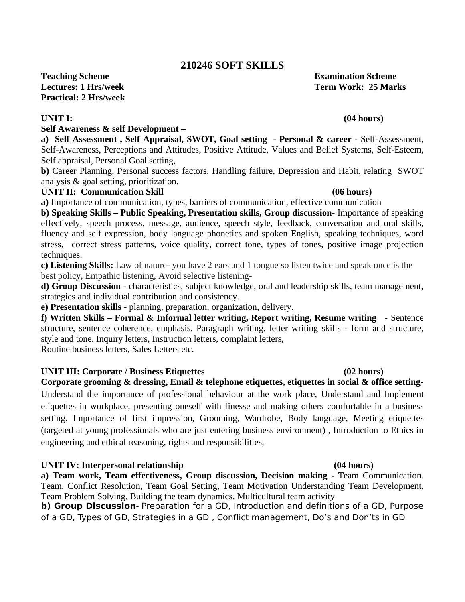### **210246 SOFT SKILLS**

**Teaching Scheme Examination Scheme Lectures: 1 Hrs/week Term Work: 25 Marks Practical: 2 Hrs/week**

### **Self Awareness & self Development –**

**a) Self Assessment , Self Appraisal, SWOT, Goal setting - Personal & career -** Self-Assessment, Self-Awareness, Perceptions and Attitudes, Positive Attitude, Values and Belief Systems, Self-Esteem, Self appraisal, Personal Goal setting,

**b)** Career Planning, Personal success factors, Handling failure, Depression and Habit, relating SWOT analysis & goal setting, prioritization.

### **UNIT II: Communication Skill (06 hours)**

**a)** Importance of communication, types, barriers of communication, effective communication

**b) Speaking Skills – Public Speaking, Presentation skills, Group discussion-** Importance of speaking effectively, speech process, message, audience, speech style, feedback, conversation and oral skills, fluency and self expression, body language phonetics and spoken English, speaking techniques, word stress, correct stress patterns, voice quality, correct tone, types of tones, positive image projection techniques.

**c) Listening Skills:** Law of nature- you have 2 ears and 1 tongue so listen twice and speak once is the best policy, Empathic listening, Avoid selective listening-

**d) Group Discussion** - characteristics, subject knowledge, oral and leadership skills, team management, strategies and individual contribution and consistency.

**e) Presentation skills** - planning, preparation, organization, delivery.

**f) Written Skills – Formal & Informal letter writing, Report writing, Resume writing -** Sentence structure, sentence coherence, emphasis. Paragraph writing. letter writing skills - form and structure, style and tone. Inquiry letters, Instruction letters, complaint letters,

Routine business letters, Sales Letters etc.

### **UNIT III: Corporate / Business Etiquettes (02 hours)**

**Corporate grooming & dressing, Email & telephone etiquettes, etiquettes in social & office setting-**Understand the importance of professional behaviour at the work place, Understand and Implement etiquettes in workplace, presenting oneself with finesse and making others comfortable in a business setting. Importance of first impression, Grooming, Wardrobe, Body language, Meeting etiquettes (targeted at young professionals who are just entering business environment) , Introduction to Ethics in engineering and ethical reasoning, rights and responsibilities,

### **UNIT IV: Interpersonal relationship (04 hours)**

**a) Team work, Team effectiveness, Group discussion, Decision making -** Team Communication. Team, Conflict Resolution, Team Goal Setting, Team Motivation Understanding Team Development, Team Problem Solving, Building the team dynamics. Multicultural team activity

**b) Group Discussion**- Preparation for a GD, Introduction and definitions of a GD, Purpose of a GD, Types of GD, Strategies in a GD , Conflict management, Do's and Don'ts in GD

### **UNIT I: (04 hours)**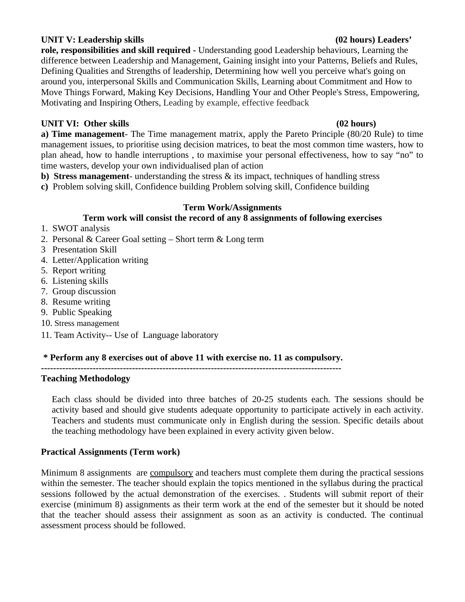### **UNIT V: Leadership skills (02 hours) Leaders'**

**role, responsibilities and skill required -** Understanding good Leadership behaviours, Learning the difference between Leadership and Management, Gaining insight into your Patterns, Beliefs and Rules, Defining Qualities and Strengths of leadership, Determining how well you perceive what's going on around you, interpersonal Skills and Communication Skills, Learning about Commitment and How to Move Things Forward, Making Key Decisions, Handling Your and Other People's Stress, Empowering, Motivating and Inspiring Others, Leading by example, effective feedback

### **UNIT VI: Other skills (02 hours)**

**a) Time management**- The Time management matrix, apply the Pareto Principle (80/20 Rule) to time management issues, to prioritise using decision matrices, to beat the most common time wasters, how to plan ahead, how to handle interruptions , to maximise your personal effectiveness, how to say "no" to time wasters, develop your own individualised plan of action

**b) Stress management**- understanding the stress & its impact, techniques of handling stress

**c)** Problem solving skill, Confidence building Problem solving skill, Confidence building

### **Term Work/Assignments**

### **Term work will consist the record of any 8 assignments of following exercises**

- 1. SWOT analysis
- 2. Personal & Career Goal setting Short term & Long term
- 3 Presentation Skill
- 4. Letter/Application writing
- 5. Report writing
- 6. Listening skills
- 7. Group discussion
- 8. Resume writing
- 9. Public Speaking
- 10. Stress management
- 11. Team Activity-- Use of Language laboratory

### **\* Perform any 8 exercises out of above 11 with exercise no. 11 as compulsory.**

**---------------------------------------------------------------------------------------------------**

### **Teaching Methodology**

Each class should be divided into three batches of 20-25 students each. The sessions should be activity based and should give students adequate opportunity to participate actively in each activity. Teachers and students must communicate only in English during the session. Specific details about the teaching methodology have been explained in every activity given below.

### **Practical Assignments (Term work)**

Minimum 8 assignments are compulsory and teachers must complete them during the practical sessions within the semester. The teacher should explain the topics mentioned in the syllabus during the practical sessions followed by the actual demonstration of the exercises. . Students will submit report of their exercise (minimum 8) assignments as their term work at the end of the semester but it should be noted that the teacher should assess their assignment as soon as an activity is conducted. The continual assessment process should be followed.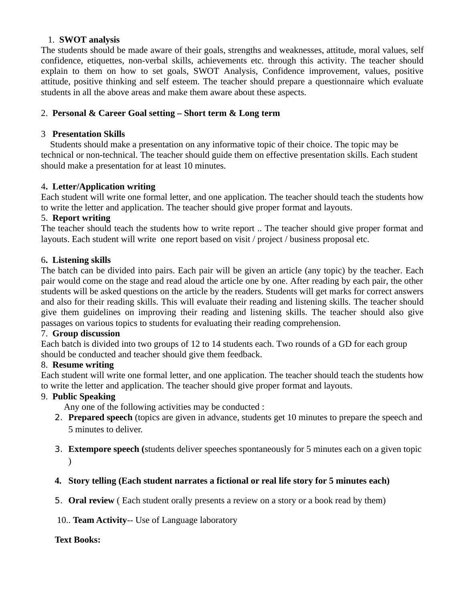### 1. **SWOT analysis**

The students should be made aware of their goals, strengths and weaknesses, attitude, moral values, self confidence, etiquettes, non-verbal skills, achievements etc. through this activity. The teacher should explain to them on how to set goals, SWOT Analysis, Confidence improvement, values, positive attitude, positive thinking and self esteem. The teacher should prepare a questionnaire which evaluate students in all the above areas and make them aware about these aspects.

### 2. **Personal & Career Goal setting – Short term & Long term**

### 3 **Presentation Skills**

 Students should make a presentation on any informative topic of their choice. The topic may be technical or non-technical. The teacher should guide them on effective presentation skills. Each student should make a presentation for at least 10 minutes.

### 4**. Letter/Application writing**

Each student will write one formal letter, and one application. The teacher should teach the students how to write the letter and application. The teacher should give proper format and layouts.

### 5. **Report writing**

The teacher should teach the students how to write report .. The teacher should give proper format and layouts. Each student will write one report based on visit / project / business proposal etc.

### 6**. Listening skills**

The batch can be divided into pairs. Each pair will be given an article (any topic) by the teacher. Each pair would come on the stage and read aloud the article one by one. After reading by each pair, the other students will be asked questions on the article by the readers. Students will get marks for correct answers and also for their reading skills. This will evaluate their reading and listening skills. The teacher should give them guidelines on improving their reading and listening skills. The teacher should also give passages on various topics to students for evaluating their reading comprehension.

### 7. **Group discussion**

Each batch is divided into two groups of 12 to 14 students each. Two rounds of a GD for each group should be conducted and teacher should give them feedback.

### 8. **Resume writing**

Each student will write one formal letter, and one application. The teacher should teach the students how to write the letter and application. The teacher should give proper format and layouts.

### 9. **Public Speaking**

Any one of the following activities may be conducted :

- 2. **Prepared speech** (topics are given in advance, students get 10 minutes to prepare the speech and 5 minutes to deliver.
- 3. **Extempore speech (**students deliver speeches spontaneously for 5 minutes each on a given topic  $\lambda$
- **4. Story telling (Each student narrates a fictional or real life story for 5 minutes each)**
- 5. **Oral review** ( Each student orally presents a review on a story or a book read by them)
- 10.. **Team Activity**-- Use of Language laboratory

### **Text Books:**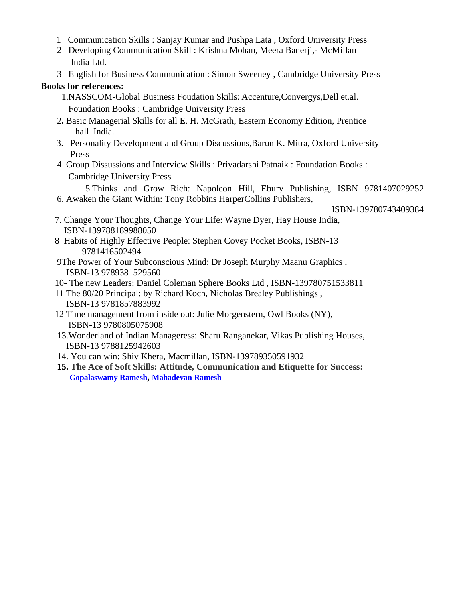- 1 Communication Skills : Sanjay Kumar and Pushpa Lata , Oxford University Press
- 2 Developing Communication Skill : Krishna Mohan, Meera Banerji,- McMillan India Ltd.
- 3 English for Business Communication : Simon Sweeney , Cambridge University Press

### **Books for references:**

- 1.NASSCOM-Global Business Foudation Skills: Accenture,Convergys,Dell et.al. Foundation Books : Cambridge University Press
- 2**.** Basic Managerial Skills for all E. H. McGrath, Eastern Economy Edition, Prentice hall India.
- 3. Personality Development and Group Discussions,Barun K. Mitra, Oxford University Press
- 4 Group Dissussions and Interview Skills : Priyadarshi Patnaik : Foundation Books : Cambridge University Press

 5.Thinks and Grow Rich: Napoleon Hill, Ebury Publishing, ISBN 9781407029252 6. Awaken the Giant Within: Tony Robbins HarperCollins Publishers,

ISBN-139780743409384

- 7. Change Your Thoughts, Change Your Life: Wayne Dyer, Hay House India, ISBN-139788189988050
- 8 Habits of Highly Effective People: Stephen Covey Pocket Books, ISBN-13 9781416502494
- 9The Power of Your Subconscious Mind: Dr Joseph Murphy Maanu Graphics , ISBN-13 9789381529560
- 10- The new Leaders: Daniel Coleman Sphere Books Ltd , ISBN-139780751533811
- 11 The 80/20 Principal: by Richard Koch, Nicholas Brealey Publishings , ISBN-13 9781857883992
- 12 Time management from inside out: Julie Morgenstern, Owl Books (NY), ISBN-13 9780805075908
- 13.Wonderland of Indian Manageress: Sharu Ranganekar, Vikas Publishing Houses, ISBN-13 9788125942603
- 14. You can win: Shiv Khera, Macmillan, ISBN-139789350591932
- **15. The Ace of Soft Skills: Attitude, Communication and Etiquette for Success: [Gopalaswamy Ramesh](http://www.google.co.in/search?tbo=p&tbm=bks&q=inauthor:), [Mahadevan Ramesh](http://www.google.co.in/search?tbo=p&tbm=bks&q=inauthor:)**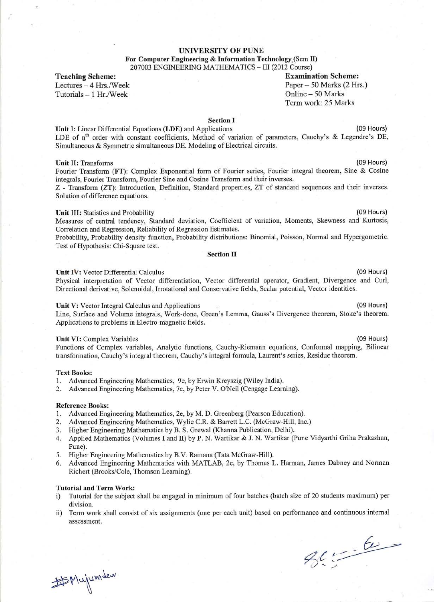### **UNIVERSITY OF PUNE**

For Computer Engineering & Information Technology (Sem II) 207003 ENGINEERING MATHEMATICS - III (2012 Course)

**Teaching Scheme:** 

Lectures - 4 Hrs./Week Tutorials - 1 Hr./Week

**Examination Scheme:** Paper - 50 Marks (2 Hrs.) Online - 50 Marks Term work: 25 Marks

### **Section I**

Unit I: Linear Differential Equations (LDE) and Applications (09 Hours) LDE of n<sup>th</sup> order with constant coefficients, Method of variation of parameters, Cauchy's & Legendre's DE, Simultaneous & Symmetric simultaneous DE. Modeling of Electrical circuits.

#### **Unit II: Transforms**

Fourier Transform (FT): Complex Exponential form of Fourier series, Fourier integral theorem, Sine & Cosine integrals, Fourier Transform, Fourier Sine and Cosine Transform and their inverses.

Z - Transform (ZT): Introduction, Definition, Standard properties, ZT of standard sequences and their inverses. Solution of difference equations.

### Unit III: Statistics and Probability

Measures of central tendency, Standard deviation, Coefficient of variation, Moments, Skewness and Kurtosis, Correlation and Regression, Reliability of Regression Estimates.

Probability, Probability density function, Probability distributions: Binomial, Poisson, Normal and Hypergometric. Test of Hypothesis: Chi-Square test.

### **Section II**

### Unit IV: Vector Differential Calculus

Physical interpretation of Vector differentiation, Vector differential operator, Gradient, Divergence and Curl, Directional derivative, Solenoidal, Irrotational and Conservative fields, Scalar potential, Vector identities.

### Unit V: Vector Integral Calculus and Applications

Line, Surface and Volume integrals, Work-done, Green's Lemma, Gauss's Divergence theorem, Stoke's theorem. Applications to problems in Electro-magnetic fields.

#### Unit VI: Complex Variables

Functions of Complex variables, Analytic functions, Cauchy-Riemann equations, Conformal mapping, Bilinear transformation, Cauchy's integral theorem, Cauchy's integral formula, Laurent's series, Residue theorem.

### **Text Books:**

- 1. Advanced Engineering Mathematics, 9e, by Erwin Kreyszig (Wiley India).
- 2. Advanced Engineering Mathematics, 7e, by Peter V. O'Neil (Cengage Learning).

### **Reference Books:**

- 1. Advanced Engineering Mathematics, 2e, by M. D. Greenberg (Pearson Education).
- Advanced Engineering Mathematics, Wylie C.R. & Barrett L.C. (McGraw-Hill, Inc.)  $2.$
- Higher Engineering Mathematics by B. S. Grewal (Khanna Publication, Delhi).  $3.$
- 4. Applied Mathematics (Volumes I and II) by P. N. Wartikar & J. N. Wartikar (Pune Vidyarthi Griha Prakashan, Pune).
- 5. Higher Engineering Mathematics by B.V. Ramana (Tata McGraw-Hill).
- 6. Advanced Engineering Mathematics with MATLAB, 2e, by Thomas L. Harman, James Dabney and Norman Richert (Brooks/Cole, Thomson Learning).

### **Tutorial and Term Work:**

- Tutorial for the subject shall be engaged in minimum of four batches (batch size of 20 students maximum) per  $i)$ division.
- Term work shall consist of six assignments (one per each unit) based on performance and continuous internal  $\rm ii)$ assessment.

 $26.56$ 

# Mujumdew

(09 Hours)

(09 Hours)

(09 Hours)

(09 Hours)

(09 Hours)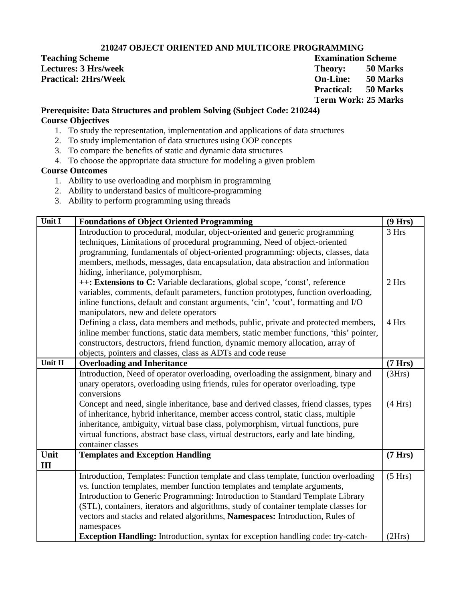### **210247 OBJECT ORIENTED AND MULTICORE PROGRAMMING**

**Teaching Scheme** Examination Scheme Examination Scheme **Lectures: 3 Hrs/week Theory:** 50 Marks **Practical: 2Hrs/Week On-Line: 50 Marks Practical: 50 Marks Term Work: 25 Marks**

### **Prerequisite: Data Structures and problem Solving (Subject Code: 210244) Course Objectives**

- 1. To study the representation, implementation and applications of data structures
- 2. To study implementation of data structures using OOP concepts
- 3. To compare the benefits of static and dynamic data structures
- 4. To choose the appropriate data structure for modeling a given problem

### **Course Outcomes**

- 1. Ability to use overloading and morphism in programming
- 2. Ability to understand basics of multicore-programming
- 3. Ability to perform programming using threads

| Unit I                         | <b>Foundations of Object Oriented Programming</b>                                      | (9 Hrs) |
|--------------------------------|----------------------------------------------------------------------------------------|---------|
|                                | Introduction to procedural, modular, object-oriented and generic programming           | 3 Hrs   |
|                                | techniques, Limitations of procedural programming, Need of object-oriented             |         |
|                                | programming, fundamentals of object-oriented programming: objects, classes, data       |         |
|                                | members, methods, messages, data encapsulation, data abstraction and information       |         |
|                                | hiding, inheritance, polymorphism,                                                     |         |
|                                | ++: Extensions to C: Variable declarations, global scope, 'const', reference           | 2 Hrs   |
|                                | variables, comments, default parameters, function prototypes, function overloading,    |         |
|                                | inline functions, default and constant arguments, 'cin', 'cout', formatting and I/O    |         |
|                                | manipulators, new and delete operators                                                 |         |
|                                | Defining a class, data members and methods, public, private and protected members,     | 4 Hrs   |
|                                | inline member functions, static data members, static member functions, 'this' pointer, |         |
|                                | constructors, destructors, friend function, dynamic memory allocation, array of        |         |
|                                | objects, pointers and classes, class as ADTs and code reuse                            |         |
| $\overline{\textbf{U}}$ nit II | <b>Overloading and Inheritance</b>                                                     | (7 Hrs) |
|                                | Introduction, Need of operator overloading, overloading the assignment, binary and     | (3Hrs)  |
|                                | unary operators, overloading using friends, rules for operator overloading, type       |         |
|                                | conversions                                                                            |         |
|                                | Concept and need, single inheritance, base and derived classes, friend classes, types  | (4 Hrs) |
|                                | of inheritance, hybrid inheritance, member access control, static class, multiple      |         |
|                                | inheritance, ambiguity, virtual base class, polymorphism, virtual functions, pure      |         |
|                                | virtual functions, abstract base class, virtual destructors, early and late binding,   |         |
|                                | container classes                                                                      |         |
| Unit                           | <b>Templates and Exception Handling</b>                                                | (7 Hrs) |
| III                            |                                                                                        |         |
|                                | Introduction, Templates: Function template and class template, function overloading    | (5 Hrs) |
|                                | vs. function templates, member function templates and template arguments,              |         |
|                                | Introduction to Generic Programming: Introduction to Standard Template Library         |         |
|                                | (STL), containers, iterators and algorithms, study of container template classes for   |         |
|                                | vectors and stacks and related algorithms, Namespaces: Introduction, Rules of          |         |
|                                | namespaces                                                                             |         |
|                                | Exception Handling: Introduction, syntax for exception handling code: try-catch-       | (2Hrs)  |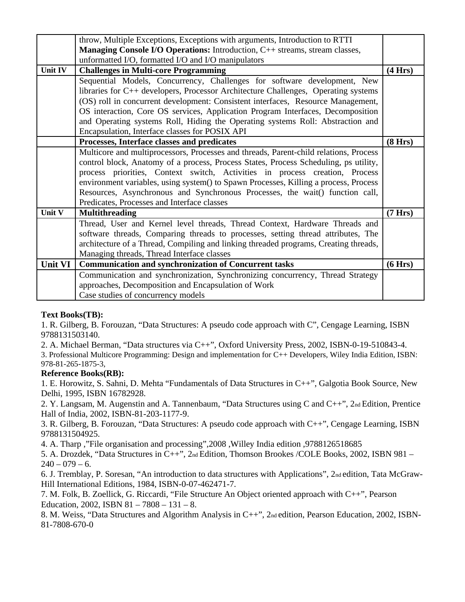|                | throw, Multiple Exceptions, Exceptions with arguments, Introduction to RTTI           |         |
|----------------|---------------------------------------------------------------------------------------|---------|
|                | Managing Console I/O Operations: Introduction, C++ streams, stream classes,           |         |
|                | unformatted I/O, formatted I/O and I/O manipulators                                   |         |
| <b>Unit IV</b> | <b>Challenges in Multi-core Programming</b>                                           | (4 Hrs) |
|                | Sequential Models, Concurrency, Challenges for software development, New              |         |
|                | libraries for C++ developers, Processor Architecture Challenges, Operating systems    |         |
|                | (OS) roll in concurrent development: Consistent interfaces, Resource Management,      |         |
|                | OS interaction, Core OS services, Application Program Interfaces, Decomposition       |         |
|                | and Operating systems Roll, Hiding the Operating systems Roll: Abstraction and        |         |
|                | Encapsulation, Interface classes for POSIX API                                        |         |
|                | Processes, Interface classes and predicates                                           | (8 Hrs) |
|                | Multicore and multiprocessors, Processes and threads, Parent-child relations, Process |         |
|                | control block, Anatomy of a process, Process States, Process Scheduling, ps utility,  |         |
|                | process priorities, Context switch, Activities in process creation, Process           |         |
|                | environment variables, using system() to Spawn Processes, Killing a process, Process  |         |
|                | Resources, Asynchronous and Synchronous Processes, the wait() function call,          |         |
|                | Predicates, Processes and Interface classes                                           |         |
| Unit V         | <b>Multithreading</b>                                                                 | (7 Hrs) |
|                | Thread, User and Kernel level threads, Thread Context, Hardware Threads and           |         |
|                | software threads, Comparing threads to processes, setting thread attributes, The      |         |
|                | architecture of a Thread, Compiling and linking threaded programs, Creating threads,  |         |
|                | Managing threads, Thread Interface classes                                            |         |
| <b>Unit VI</b> | <b>Communication and synchronization of Concurrent tasks</b>                          | (6 Hrs) |
|                | Communication and synchronization, Synchronizing concurrency, Thread Strategy         |         |
|                | approaches, Decomposition and Encapsulation of Work                                   |         |
|                | Case studies of concurrency models                                                    |         |

### **Text Books(TB):**

1. R. Gilberg, B. Forouzan, "Data Structures: A pseudo code approach with C", Cengage Learning, ISBN 9788131503140.

2. A. Michael Berman, "Data structures via C++", Oxford University Press, 2002, ISBN-0-19-510843-4.

3. Professional Multicore Programming: Design and implementation for C++ Developers, Wiley India Edition, ISBN: 978-81-265-1875-3,

### **Reference Books(RB):**

1. E. Horowitz, S. Sahni, D. Mehta "Fundamentals of Data Structures in C++", Galgotia Book Source, New Delhi, 1995, ISBN 16782928.

2. Y. Langsam, M. Augenstin and A. Tannenbaum, "Data Structures using C and C++", 2nd Edition, Prentice Hall of India, 2002, ISBN-81-203-1177-9.

3. R. Gilberg, B. Forouzan, "Data Structures: A pseudo code approach with C++", Cengage Learning, ISBN 9788131504925.

4. A. Tharp ,"File organisation and processing",2008 ,Willey India edition ,9788126518685

5. A. Drozdek, "Data Structures in C++", 2nd Edition, Thomson Brookes /COLE Books, 2002, ISBN 981 –  $240 - 079 - 6.$ 

6. J. Tremblay, P. Soresan, "An introduction to data structures with Applications", 2nd edition, Tata McGraw-Hill International Editions, 1984, ISBN-0-07-462471-7.

7. M. Folk, B. Zoellick, G. Riccardi, "File Structure An Object oriented approach with C++", Pearson Education, 2002, ISBN 81 - 7808 - 131 - 8.

8. M. Weiss, "Data Structures and Algorithm Analysis in C++", 2nd edition, Pearson Education, 2002, ISBN-81-7808-670-0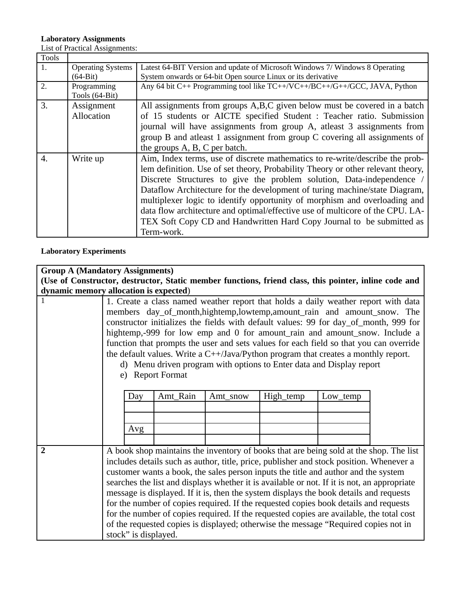### **Laboratory Assignments**

List of Practical Assignments:

| <b>Tools</b> |                                        |                                                                                                                                                                                                                                                                                                                                                                                                                                                                                                                                                                           |
|--------------|----------------------------------------|---------------------------------------------------------------------------------------------------------------------------------------------------------------------------------------------------------------------------------------------------------------------------------------------------------------------------------------------------------------------------------------------------------------------------------------------------------------------------------------------------------------------------------------------------------------------------|
| 1.           | <b>Operating Systems</b><br>$(64-Bit)$ | Latest 64-BIT Version and update of Microsoft Windows 7/ Windows 8 Operating<br>System onwards or 64-bit Open source Linux or its derivative                                                                                                                                                                                                                                                                                                                                                                                                                              |
| 2.           | Programming<br>Tools (64-Bit)          | Any 64 bit C++ Programming tool like TC++/VC++/BC++/G++/GCC, JAVA, Python                                                                                                                                                                                                                                                                                                                                                                                                                                                                                                 |
| 3.           | Assignment<br>Allocation               | All assignments from groups A,B,C given below must be covered in a batch<br>of 15 students or AICTE specified Student : Teacher ratio. Submission<br>journal will have assignments from group A, atleast 3 assignments from<br>group B and atleast 1 assignment from group C covering all assignments of<br>the groups A, B, C per batch.                                                                                                                                                                                                                                 |
| 4.           | Write up                               | Aim, Index terms, use of discrete mathematics to re-write/describe the prob-<br>lem definition. Use of set theory, Probability Theory or other relevant theory,<br>Discrete Structures to give the problem solution, Data-independence<br>Dataflow Architecture for the development of turing machine/state Diagram,<br>multiplexer logic to identify opportunity of morphism and overloading and<br>data flow architecture and optimal/effective use of multicore of the CPU. LA-<br>TEX Soft Copy CD and Handwritten Hard Copy Journal to be submitted as<br>Term-work. |

ī

**Laboratory Experiments**

| Day | Amt_Rain  | Amt_snow                                                                                                                         | High_temp | Low_temp |                                                                                                                                                                                                                                                                                                                                                                                                                                                                                                                                                                                                                                                                                                                                                                                                                                                                                                                                                                                                                                                                                                                                                                                                                                                                                                                                                                                                                                                       |
|-----|-----------|----------------------------------------------------------------------------------------------------------------------------------|-----------|----------|-------------------------------------------------------------------------------------------------------------------------------------------------------------------------------------------------------------------------------------------------------------------------------------------------------------------------------------------------------------------------------------------------------------------------------------------------------------------------------------------------------------------------------------------------------------------------------------------------------------------------------------------------------------------------------------------------------------------------------------------------------------------------------------------------------------------------------------------------------------------------------------------------------------------------------------------------------------------------------------------------------------------------------------------------------------------------------------------------------------------------------------------------------------------------------------------------------------------------------------------------------------------------------------------------------------------------------------------------------------------------------------------------------------------------------------------------------|
|     |           |                                                                                                                                  |           |          |                                                                                                                                                                                                                                                                                                                                                                                                                                                                                                                                                                                                                                                                                                                                                                                                                                                                                                                                                                                                                                                                                                                                                                                                                                                                                                                                                                                                                                                       |
|     |           |                                                                                                                                  |           |          |                                                                                                                                                                                                                                                                                                                                                                                                                                                                                                                                                                                                                                                                                                                                                                                                                                                                                                                                                                                                                                                                                                                                                                                                                                                                                                                                                                                                                                                       |
|     |           |                                                                                                                                  |           |          |                                                                                                                                                                                                                                                                                                                                                                                                                                                                                                                                                                                                                                                                                                                                                                                                                                                                                                                                                                                                                                                                                                                                                                                                                                                                                                                                                                                                                                                       |
|     |           |                                                                                                                                  |           |          |                                                                                                                                                                                                                                                                                                                                                                                                                                                                                                                                                                                                                                                                                                                                                                                                                                                                                                                                                                                                                                                                                                                                                                                                                                                                                                                                                                                                                                                       |
|     |           |                                                                                                                                  |           |          |                                                                                                                                                                                                                                                                                                                                                                                                                                                                                                                                                                                                                                                                                                                                                                                                                                                                                                                                                                                                                                                                                                                                                                                                                                                                                                                                                                                                                                                       |
|     |           |                                                                                                                                  |           |          |                                                                                                                                                                                                                                                                                                                                                                                                                                                                                                                                                                                                                                                                                                                                                                                                                                                                                                                                                                                                                                                                                                                                                                                                                                                                                                                                                                                                                                                       |
|     |           |                                                                                                                                  |           |          |                                                                                                                                                                                                                                                                                                                                                                                                                                                                                                                                                                                                                                                                                                                                                                                                                                                                                                                                                                                                                                                                                                                                                                                                                                                                                                                                                                                                                                                       |
|     |           |                                                                                                                                  |           |          |                                                                                                                                                                                                                                                                                                                                                                                                                                                                                                                                                                                                                                                                                                                                                                                                                                                                                                                                                                                                                                                                                                                                                                                                                                                                                                                                                                                                                                                       |
|     |           |                                                                                                                                  |           |          |                                                                                                                                                                                                                                                                                                                                                                                                                                                                                                                                                                                                                                                                                                                                                                                                                                                                                                                                                                                                                                                                                                                                                                                                                                                                                                                                                                                                                                                       |
|     |           |                                                                                                                                  |           |          |                                                                                                                                                                                                                                                                                                                                                                                                                                                                                                                                                                                                                                                                                                                                                                                                                                                                                                                                                                                                                                                                                                                                                                                                                                                                                                                                                                                                                                                       |
|     |           |                                                                                                                                  |           |          |                                                                                                                                                                                                                                                                                                                                                                                                                                                                                                                                                                                                                                                                                                                                                                                                                                                                                                                                                                                                                                                                                                                                                                                                                                                                                                                                                                                                                                                       |
|     |           |                                                                                                                                  |           |          |                                                                                                                                                                                                                                                                                                                                                                                                                                                                                                                                                                                                                                                                                                                                                                                                                                                                                                                                                                                                                                                                                                                                                                                                                                                                                                                                                                                                                                                       |
|     |           |                                                                                                                                  |           |          |                                                                                                                                                                                                                                                                                                                                                                                                                                                                                                                                                                                                                                                                                                                                                                                                                                                                                                                                                                                                                                                                                                                                                                                                                                                                                                                                                                                                                                                       |
|     | e)<br>Avg | <b>Group A (Mandatory Assignments)</b><br>dynamic memory allocation is expected)<br><b>Report Format</b><br>stock" is displayed. |           |          | (Use of Constructor, destructor, Static member functions, friend class, this pointer, inline code and<br>1. Create a class named weather report that holds a daily weather report with data<br>members day_of_month,hightemp,lowtemp,amount_rain and amount_snow. The<br>constructor initializes the fields with default values: 99 for day_of_month, 999 for<br>hightemp,-999 for low emp and 0 for amount_rain and amount_snow. Include a<br>function that prompts the user and sets values for each field so that you can override<br>the default values. Write a $C++$ /Java/Python program that creates a monthly report.<br>d) Menu driven program with options to Enter data and Display report<br>A book shop maintains the inventory of books that are being sold at the shop. The list<br>includes details such as author, title, price, publisher and stock position. Whenever a<br>customer wants a book, the sales person inputs the title and author and the system<br>searches the list and displays whether it is available or not. If it is not, an appropriate<br>message is displayed. If it is, then the system displays the book details and requests<br>for the number of copies required. If the requested copies book details and requests<br>for the number of copies required. If the requested copies are available, the total cost<br>of the requested copies is displayed; otherwise the message "Required copies not in |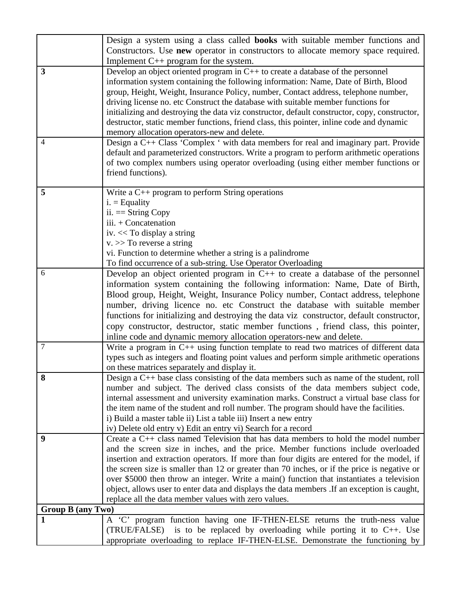|                          | Design a system using a class called <b>books</b> with suitable member functions and                                                                                               |
|--------------------------|------------------------------------------------------------------------------------------------------------------------------------------------------------------------------------|
|                          | Constructors. Use new operator in constructors to allocate memory space required.                                                                                                  |
|                          | Implement $C^{++}$ program for the system.                                                                                                                                         |
| 3                        | Develop an object oriented program in $C++$ to create a database of the personnel                                                                                                  |
|                          | information system containing the following information: Name, Date of Birth, Blood                                                                                                |
|                          | group, Height, Weight, Insurance Policy, number, Contact address, telephone number,                                                                                                |
|                          | driving license no. etc Construct the database with suitable member functions for<br>initializing and destroying the data viz constructor, default constructor, copy, constructor, |
|                          | destructor, static member functions, friend class, this pointer, inline code and dynamic                                                                                           |
|                          | memory allocation operators-new and delete.                                                                                                                                        |
| $\overline{4}$           | Design a C++ Class 'Complex ' with data members for real and imaginary part. Provide                                                                                               |
|                          | default and parameterized constructors. Write a program to perform arithmetic operations                                                                                           |
|                          | of two complex numbers using operator overloading (using either member functions or                                                                                                |
|                          | friend functions).                                                                                                                                                                 |
|                          |                                                                                                                                                                                    |
| 5                        | Write a $C_{++}$ program to perform String operations                                                                                                                              |
|                          | $i. =$ Equality                                                                                                                                                                    |
|                          | $ii. == String Copy$                                                                                                                                                               |
|                          | iii. + Concatenation                                                                                                                                                               |
|                          | iv. << To display a string                                                                                                                                                         |
|                          | $v.$ >> To reverse a string<br>vi. Function to determine whether a string is a palindrome                                                                                          |
|                          | To find occurrence of a sub-string. Use Operator Overloading                                                                                                                       |
| 6                        | Develop an object oriented program in $C_{++}$ to create a database of the personnel                                                                                               |
|                          | information system containing the following information: Name, Date of Birth,                                                                                                      |
|                          | Blood group, Height, Weight, Insurance Policy number, Contact address, telephone                                                                                                   |
|                          | number, driving licence no. etc Construct the database with suitable member                                                                                                        |
|                          | functions for initializing and destroying the data viz constructor, default constructor,                                                                                           |
|                          | copy constructor, destructor, static member functions, friend class, this pointer,                                                                                                 |
|                          | inline code and dynamic memory allocation operators-new and delete.                                                                                                                |
| 7                        | Write a program in C++ using function template to read two matrices of different data                                                                                              |
|                          | types such as integers and floating point values and perform simple arithmetic operations                                                                                          |
|                          | on these matrices separately and display it.                                                                                                                                       |
| ช                        | Design a C++ base class consisting of the data members such as name of the student, roll                                                                                           |
|                          | number and subject. The derived class consists of the data members subject code,                                                                                                   |
|                          | internal assessment and university examination marks. Construct a virtual base class for                                                                                           |
|                          | the item name of the student and roll number. The program should have the facilities.                                                                                              |
|                          | i) Build a master table ii) List a table iii) Insert a new entry<br>iv) Delete old entry v) Edit an entry vi) Search for a record                                                  |
| 9                        | Create a C <sup>++</sup> class named Television that has data members to hold the model number                                                                                     |
|                          | and the screen size in inches, and the price. Member functions include overloaded                                                                                                  |
|                          | insertion and extraction operators. If more than four digits are entered for the model, if                                                                                         |
|                          | the screen size is smaller than 12 or greater than 70 inches, or if the price is negative or                                                                                       |
|                          | over \$5000 then throw an integer. Write a main() function that instantiates a television                                                                                          |
|                          | object, allows user to enter data and displays the data members . If an exception is caught,                                                                                       |
|                          | replace all the data member values with zero values.                                                                                                                               |
| <b>Group B (any Two)</b> |                                                                                                                                                                                    |
| 1                        | A 'C' program function having one IF-THEN-ELSE returns the truth-ness value                                                                                                        |
|                          | (TRUE/FALSE)<br>is to be replaced by overloading while porting it to $C++$ . Use                                                                                                   |
|                          | appropriate overloading to replace IF-THEN-ELSE. Demonstrate the functioning by                                                                                                    |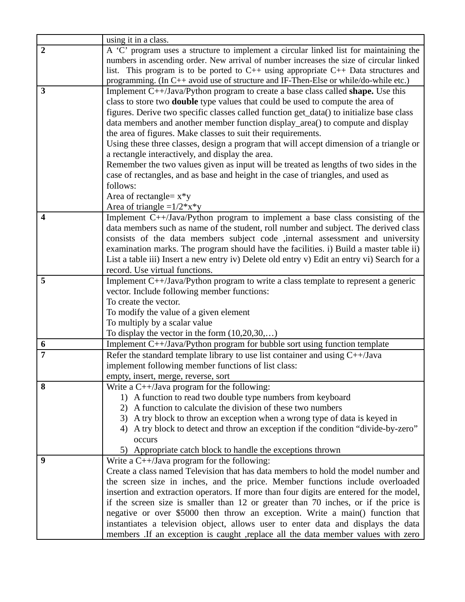|                  | using it in a class.                                                                                                                    |
|------------------|-----------------------------------------------------------------------------------------------------------------------------------------|
| $\overline{2}$   | A 'C' program uses a structure to implement a circular linked list for maintaining the                                                  |
|                  | numbers in ascending order. New arrival of number increases the size of circular linked                                                 |
|                  | list. This program is to be ported to $C++$ using appropriate $C++$ Data structures and                                                 |
|                  | programming. (In C++ avoid use of structure and IF-Then-Else or while/do-while etc.)                                                    |
| 3                | Implement C++/Java/Python program to create a base class called <b>shape.</b> Use this                                                  |
|                  | class to store two <b>double</b> type values that could be used to compute the area of                                                  |
|                  | figures. Derive two specific classes called function get_data() to initialize base class                                                |
|                  | data members and another member function display_area() to compute and display                                                          |
|                  | the area of figures. Make classes to suit their requirements.                                                                           |
|                  | Using these three classes, design a program that will accept dimension of a triangle or                                                 |
|                  | a rectangle interactively, and display the area.                                                                                        |
|                  | Remember the two values given as input will be treated as lengths of two sides in the                                                   |
|                  | case of rectangles, and as base and height in the case of triangles, and used as                                                        |
|                  | follows:                                                                                                                                |
|                  | Area of rectangle= $x*y$                                                                                                                |
|                  | Area of triangle = $1/2*x*y$                                                                                                            |
| $\boldsymbol{4}$ | Implement C++/Java/Python program to implement a base class consisting of the                                                           |
|                  | data members such as name of the student, roll number and subject. The derived class                                                    |
|                  | consists of the data members subject code , internal assessment and university                                                          |
|                  | examination marks. The program should have the facilities. i) Build a master table ii)                                                  |
|                  | List a table iii) Insert a new entry iv) Delete old entry v) Edit an entry vi) Search for a                                             |
|                  | record. Use virtual functions.                                                                                                          |
| 5                | Implement C++/Java/Python program to write a class template to represent a generic                                                      |
|                  | vector. Include following member functions:                                                                                             |
|                  | To create the vector.                                                                                                                   |
|                  | To modify the value of a given element                                                                                                  |
|                  | To multiply by a scalar value                                                                                                           |
|                  | To display the vector in the form $(10,20,30,)$                                                                                         |
| 6                | Implement C++/Java/Python program for bubble sort using function template                                                               |
| $\overline{7}$   | Refer the standard template library to use list container and using C++/Java                                                            |
|                  | implement following member functions of list class:                                                                                     |
|                  | empty, insert, merge, reverse, sort                                                                                                     |
| 8                | Write a $C^{++}/J$ ava program for the following:                                                                                       |
|                  | 1) A function to read two double type numbers from keyboard                                                                             |
|                  | A function to calculate the division of these two numbers<br>2)                                                                         |
|                  | 3) A try block to throw an exception when a wrong type of data is keyed in                                                              |
|                  | A try block to detect and throw an exception if the condition "divide-by-zero"                                                          |
|                  | occurs                                                                                                                                  |
|                  | 5) Appropriate catch block to handle the exceptions thrown                                                                              |
| 9                | Write a $C^{++}/J$ ava program for the following:<br>Create a class named Television that has data members to hold the model number and |
|                  |                                                                                                                                         |
|                  | the screen size in inches, and the price. Member functions include overloaded                                                           |
|                  | insertion and extraction operators. If more than four digits are entered for the model,                                                 |
|                  | if the screen size is smaller than 12 or greater than 70 inches, or if the price is                                                     |
|                  | negative or over \$5000 then throw an exception. Write a main() function that                                                           |
|                  | instantiates a television object, allows user to enter data and displays the data                                                       |
|                  | members .If an exception is caught , replace all the data member values with zero                                                       |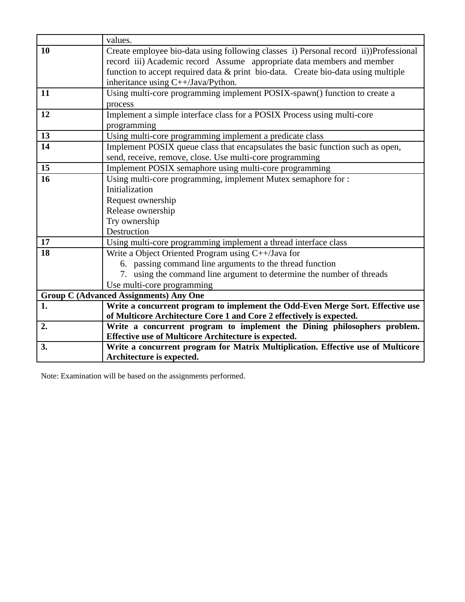|    | values.                                                                              |
|----|--------------------------------------------------------------------------------------|
| 10 | Create employee bio-data using following classes i) Personal record ii))Professional |
|    | record iii) Academic record Assume appropriate data members and member               |
|    | function to accept required data & print bio-data. Create bio-data using multiple    |
|    | inheritance using C++/Java/Python.                                                   |
| 11 | Using multi-core programming implement POSIX-spawn() function to create a            |
|    | process                                                                              |
| 12 | Implement a simple interface class for a POSIX Process using multi-core              |
|    | programming                                                                          |
| 13 | Using multi-core programming implement a predicate class                             |
| 14 | Implement POSIX queue class that encapsulates the basic function such as open,       |
|    | send, receive, remove, close. Use multi-core programming                             |
| 15 | Implement POSIX semaphore using multi-core programming                               |
| 16 | Using multi-core programming, implement Mutex semaphore for :                        |
|    | Initialization                                                                       |
|    | Request ownership                                                                    |
|    | Release ownership                                                                    |
|    | Try ownership                                                                        |
|    | Destruction                                                                          |
| 17 | Using multi-core programming implement a thread interface class                      |
| 18 | Write a Object Oriented Program using C++/Java for                                   |
|    | 6. passing command line arguments to the thread function                             |
|    | 7. using the command line argument to determine the number of threads                |
|    | Use multi-core programming                                                           |
|    | <b>Group C (Advanced Assignments) Any One</b>                                        |
| 1. | Write a concurrent program to implement the Odd-Even Merge Sort. Effective use       |
|    | of Multicore Architecture Core 1 and Core 2 effectively is expected.                 |
| 2. | Write a concurrent program to implement the Dining philosophers problem.             |
|    | Effective use of Multicore Architecture is expected.                                 |
| 3. | Write a concurrent program for Matrix Multiplication. Effective use of Multicore     |
|    | Architecture is expected.                                                            |

Note: Examination will be based on the assignments performed.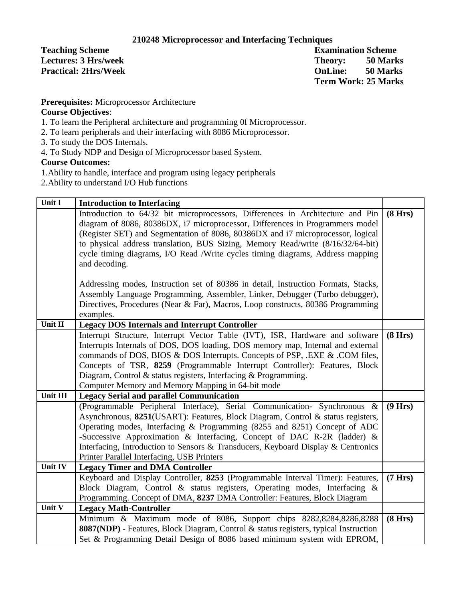### **210248 Microprocessor and Interfacing Techniques**

**Teaching Scheme** Examination Scheme **Lectures: 3 Hrs/week Theory: 50 Marks Practical: 2Hrs/Week OnLine: 50 Marks Term Work: 25 Marks**

**Prerequisites:** Microprocessor Architecture

### **Course Objectives**:

- 1. To learn the Peripheral architecture and programming 0f Microprocessor.
- 2. To learn peripherals and their interfacing with 8086 Microprocessor.
- 3. To study the DOS Internals.
- 4. To Study NDP and Design of Microprocessor based System.

### **Course Outcomes:**

- 1.Ability to handle, interface and program using legacy peripherals
- 2.Ability to understand I/O Hub functions

| Unit I   | <b>Introduction to Interfacing</b>                                                                                                                                                                                                                                 |         |
|----------|--------------------------------------------------------------------------------------------------------------------------------------------------------------------------------------------------------------------------------------------------------------------|---------|
|          | Introduction to 64/32 bit microprocessors, Differences in Architecture and Pin<br>diagram of 8086, 80386DX, i7 microprocessor, Differences in Programmers model                                                                                                    | (8 Hrs) |
|          | (Register SET) and Segmentation of 8086, 80386DX and i7 microprocessor, logical                                                                                                                                                                                    |         |
|          | to physical address translation, BUS Sizing, Memory Read/write (8/16/32/64-bit)                                                                                                                                                                                    |         |
|          | cycle timing diagrams, I/O Read /Write cycles timing diagrams, Address mapping<br>and decoding.                                                                                                                                                                    |         |
|          | Addressing modes, Instruction set of 80386 in detail, Instruction Formats, Stacks,<br>Assembly Language Programming, Assembler, Linker, Debugger (Turbo debugger),<br>Directives, Procedures (Near & Far), Macros, Loop constructs, 80386 Programming<br>examples. |         |
| Unit II  | <b>Legacy DOS Internals and Interrupt Controller</b>                                                                                                                                                                                                               |         |
|          | Interrupt Structure, Interrupt Vector Table (IVT), ISR, Hardware and software                                                                                                                                                                                      | (8 Hrs) |
|          | Interrupts Internals of DOS, DOS loading, DOS memory map, Internal and external                                                                                                                                                                                    |         |
|          | commands of DOS, BIOS & DOS Interrupts. Concepts of PSP, .EXE & .COM files,                                                                                                                                                                                        |         |
|          | Concepts of TSR, 8259 (Programmable Interrupt Controller): Features, Block                                                                                                                                                                                         |         |
|          | Diagram, Control & status registers, Interfacing & Programming.                                                                                                                                                                                                    |         |
|          | Computer Memory and Memory Mapping in 64-bit mode                                                                                                                                                                                                                  |         |
| Unit III | <b>Legacy Serial and parallel Communication</b>                                                                                                                                                                                                                    |         |
|          | (Programmable Peripheral Interface), Serial Communication- Synchronous &                                                                                                                                                                                           | (9 Hrs) |
|          | Asynchronous, 8251(USART): Features, Block Diagram, Control & status registers,                                                                                                                                                                                    |         |
|          | Operating modes, Interfacing & Programming (8255 and 8251) Concept of ADC                                                                                                                                                                                          |         |
|          | -Successive Approximation & Interfacing, Concept of DAC R-2R (ladder) &                                                                                                                                                                                            |         |
|          | Interfacing, Introduction to Sensors & Transducers, Keyboard Display & Centronics                                                                                                                                                                                  |         |
|          | Printer Parallel Interfacing, USB Printers                                                                                                                                                                                                                         |         |
| Unit IV  | <b>Legacy Timer and DMA Controller</b>                                                                                                                                                                                                                             |         |
|          | Keyboard and Display Controller, 8253 (Programmable Interval Timer): Features,                                                                                                                                                                                     | (7 Hrs) |
|          | Block Diagram, Control & status registers, Operating modes, Interfacing &                                                                                                                                                                                          |         |
|          | Programming. Concept of DMA, 8237 DMA Controller: Features, Block Diagram                                                                                                                                                                                          |         |
| Unit V   | <b>Legacy Math-Controller</b>                                                                                                                                                                                                                                      |         |
|          | Minimum & Maximum mode of 8086, Support chips 8282,8284,8286,8288                                                                                                                                                                                                  | (8 Hrs) |
|          | 8087(NDP) - Features, Block Diagram, Control & status registers, typical Instruction                                                                                                                                                                               |         |
|          | Set & Programming Detail Design of 8086 based minimum system with EPROM,                                                                                                                                                                                           |         |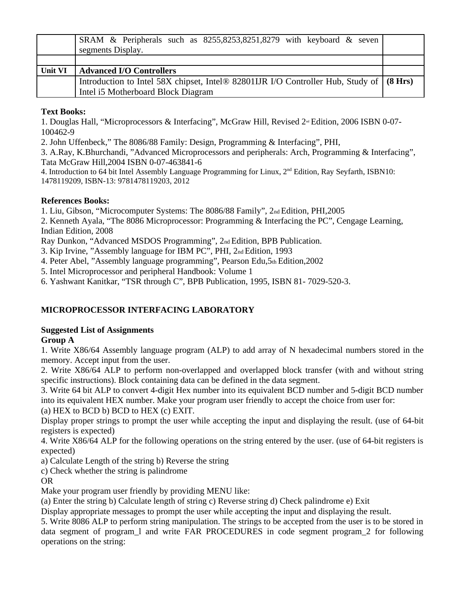|                | SRAM & Peripherals such as 8255,8253,8251,8279 with keyboard & seven<br>segments Display. |  |
|----------------|-------------------------------------------------------------------------------------------|--|
|                |                                                                                           |  |
|                |                                                                                           |  |
| <b>Unit VI</b> | <b>Advanced I/O Controllers</b>                                                           |  |
|                | Introduction to Intel 58X chipset, Intel® 82801IJR I/O Controller Hub, Study of   (8 Hrs) |  |

### **Text Books:**

1. Douglas Hall, "Microprocessors & Interfacing", McGraw Hill, Revised  $2^{\omega}$  Edition, 2006 ISBN 0-07-100462-9

2. John Uffenbeck," The 8086/88 Family: Design, Programming & Interfacing", PHI,

3. A.Ray, K.Bhurchandi, "Advanced Microprocessors and peripherals: Arch, Programming & Interfacing", Tata McGraw Hill,2004 ISBN 0-07-463841-6

4. Introduction to 64 bit Intel Assembly Language Programming for Linux, 2<sup>nd</sup> Edition, Ray Seyfarth, ISBN10: 1478119209, ISBN-13: 9781478119203, 2012

### **References Books:**

1. Liu, Gibson, "Microcomputer Systems: The 8086/88 Family", 2nd Edition, PHI,2005

2. Kenneth Ayala, "The 8086 Microprocessor: Programming & Interfacing the PC", Cengage Learning, Indian Edition, 2008

Ray Dunkon, "Advanced MSDOS Programming", 2nd Edition, BPB Publication.

3. Kip Irvine, "Assembly language for IBM PC", PHI, 2nd Edition, 1993

4. Peter Abel, "Assembly language programming", Pearson Edu, 5th Edition, 2002

5. Intel Microprocessor and peripheral Handbook: Volume 1

6. Yashwant Kanitkar, "TSR through C", BPB Publication, 1995, ISBN 81- 7029-520-3.

### **MICROPROCESSOR INTERFACING LABORATORY**

### **Suggested List of Assignments**

### **Group A**

1. Write X86/64 Assembly language program (ALP) to add array of N hexadecimal numbers stored in the memory. Accept input from the user.

2. Write X86/64 ALP to perform non-overlapped and overlapped block transfer (with and without string specific instructions). Block containing data can be defined in the data segment.

3. Write 64 bit ALP to convert 4-digit Hex number into its equivalent BCD number and 5-digit BCD number into its equivalent HEX number. Make your program user friendly to accept the choice from user for:

(a) HEX to BCD b) BCD to HEX (c) EXIT.

Display proper strings to prompt the user while accepting the input and displaying the result. (use of 64-bit registers is expected)

4. Write X86/64 ALP for the following operations on the string entered by the user. (use of 64-bit registers is expected)

a) Calculate Length of the string b) Reverse the string

c) Check whether the string is palindrome

OR

Make your program user friendly by providing MENU like:

(a) Enter the string b) Calculate length of string c) Reverse string d) Check palindrome e) Exit

Display appropriate messages to prompt the user while accepting the input and displaying the result.

5. Write 8086 ALP to perform string manipulation. The strings to be accepted from the user is to be stored in data segment of program 1 and write FAR PROCEDURES in code segment program 2 for following operations on the string: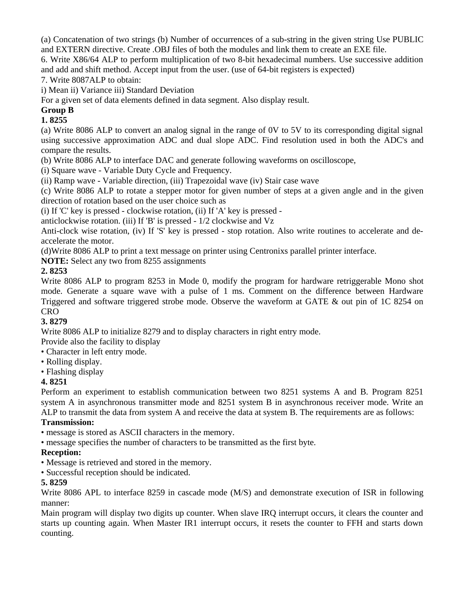(a) Concatenation of two strings (b) Number of occurrences of a sub-string in the given string Use PUBLIC and EXTERN directive. Create .OBJ files of both the modules and link them to create an EXE file.

6. Write X86/64 ALP to perform multiplication of two 8-bit hexadecimal numbers. Use successive addition and add and shift method. Accept input from the user. (use of 64-bit registers is expected)

7. Write 8087ALP to obtain:

i) Mean ii) Variance iii) Standard Deviation

For a given set of data elements defined in data segment. Also display result.

### **Group B**

### **1. 8255**

(a) Write 8086 ALP to convert an analog signal in the range of 0V to 5V to its corresponding digital signal using successive approximation ADC and dual slope ADC. Find resolution used in both the ADC's and compare the results.

(b) Write 8086 ALP to interface DAC and generate following waveforms on oscilloscope,

(i) Square wave - Variable Duty Cycle and Frequency.

(ii) Ramp wave - Variable direction, (iii) Trapezoidal wave (iv) Stair case wave

(c) Write 8086 ALP to rotate a stepper motor for given number of steps at a given angle and in the given direction of rotation based on the user choice such as

(i) If 'C' key is pressed - clockwise rotation, (ii) If 'A' key is pressed -

anticlockwise rotation. (iii) If 'B' is pressed - 1/2 clockwise and Vz

Anti-clock wise rotation, (iv) If 'S' key is pressed - stop rotation. Also write routines to accelerate and deaccelerate the motor.

(d)Write 8086 ALP to print a text message on printer using Centronixs parallel printer interface.

**NOTE:** Select any two from 8255 assignments

### **2. 8253**

Write 8086 ALP to program 8253 in Mode 0, modify the program for hardware retriggerable Mono shot mode. Generate a square wave with a pulse of 1 ms. Comment on the difference between Hardware Triggered and software triggered strobe mode. Observe the waveform at GATE & out pin of 1C 8254 on **CRO** 

### **3. 8279**

Write 8086 ALP to initialize 8279 and to display characters in right entry mode.

Provide also the facility to display

- Character in left entry mode.
- Rolling display.
- Flashing display

### **4. 8251**

Perform an experiment to establish communication between two 8251 systems A and B. Program 8251 system A in asynchronous transmitter mode and 8251 system B in asynchronous receiver mode. Write an ALP to transmit the data from system A and receive the data at system B. The requirements are as follows:

### **Transmission:**

• message is stored as ASCII characters in the memory.

• message specifies the number of characters to be transmitted as the first byte.

### **Reception:**

- Message is retrieved and stored in the memory.
- Successful reception should be indicated.

### **5. 8259**

Write 8086 APL to interface 8259 in cascade mode (M/S) and demonstrate execution of ISR in following manner:

Main program will display two digits up counter. When slave IRQ interrupt occurs, it clears the counter and starts up counting again. When Master IR1 interrupt occurs, it resets the counter to FFH and starts down counting.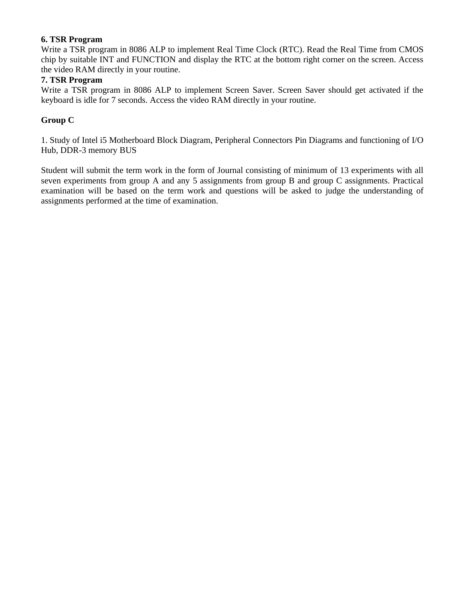### **6. TSR Program**

Write a TSR program in 8086 ALP to implement Real Time Clock (RTC). Read the Real Time from CMOS chip by suitable INT and FUNCTION and display the RTC at the bottom right corner on the screen. Access the video RAM directly in your routine.

### **7. TSR Program**

Write a TSR program in 8086 ALP to implement Screen Saver. Screen Saver should get activated if the keyboard is idle for 7 seconds. Access the video RAM directly in your routine.

### **Group C**

1. Study of Intel i5 Motherboard Block Diagram, Peripheral Connectors Pin Diagrams and functioning of I/O Hub, DDR-3 memory BUS

Student will submit the term work in the form of Journal consisting of minimum of 13 experiments with all seven experiments from group A and any 5 assignments from group B and group C assignments. Practical examination will be based on the term work and questions will be asked to judge the understanding of assignments performed at the time of examination.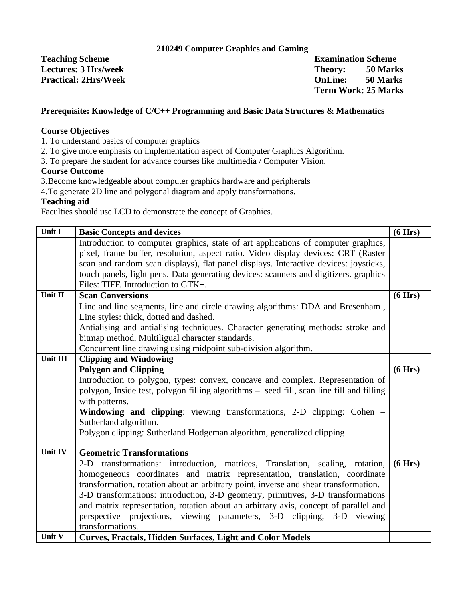### **210249 Computer Graphics and Gaming**

**Teaching Scheme** Examination Scheme **Lectures: 3 Hrs/week Theory:** 50 Marks **Practical: 2Hrs/Week OnLine: 50 Marks**

**Term Work: 25 Marks**

### **Prerequisite: Knowledge of C/C++ Programming and Basic Data Structures & Mathematics**

### **Course Objectives**

1. To understand basics of computer graphics

2. To give more emphasis on implementation aspect of Computer Graphics Algorithm.

3. To prepare the student for advance courses like multimedia / Computer Vision.

### **Course Outcome**

3.Become knowledgeable about computer graphics hardware and peripherals

4.To generate 2D line and polygonal diagram and apply transformations.

### **Teaching aid**

Faculties should use LCD to demonstrate the concept of Graphics.

| Unit I          | <b>Basic Concepts and devices</b>                                                        | (6 Hrs) |
|-----------------|------------------------------------------------------------------------------------------|---------|
|                 | Introduction to computer graphics, state of art applications of computer graphics,       |         |
|                 | pixel, frame buffer, resolution, aspect ratio. Video display devices: CRT (Raster        |         |
|                 | scan and random scan displays), flat panel displays. Interactive devices: joysticks,     |         |
|                 | touch panels, light pens. Data generating devices: scanners and digitizers. graphics     |         |
|                 | Files: TIFF. Introduction to GTK+.                                                       |         |
| Unit II         | <b>Scan Conversions</b>                                                                  | (6 Hrs) |
|                 | Line and line segments, line and circle drawing algorithms: DDA and Bresenham,           |         |
|                 | Line styles: thick, dotted and dashed.                                                   |         |
|                 | Antialising and antialising techniques. Character generating methods: stroke and         |         |
|                 | bitmap method, Multiligual character standards.                                          |         |
|                 | Concurrent line drawing using midpoint sub-division algorithm.                           |         |
| <b>Unit III</b> | <b>Clipping and Windowing</b>                                                            |         |
|                 | <b>Polygon and Clipping</b>                                                              | (6 Hrs) |
|                 | Introduction to polygon, types: convex, concave and complex. Representation of           |         |
|                 | polygon, Inside test, polygon filling algorithms - seed fill, scan line fill and filling |         |
|                 | with patterns.                                                                           |         |
|                 | Windowing and clipping: viewing transformations, 2-D clipping: Cohen –                   |         |
|                 | Sutherland algorithm.                                                                    |         |
|                 | Polygon clipping: Sutherland Hodgeman algorithm, generalized clipping                    |         |
| <b>Unit IV</b>  | <b>Geometric Transformations</b>                                                         |         |
|                 | transformations: introduction, matrices, Translation, scaling, rotation,<br>$2-D$        | (6 Hrs) |
|                 | homogeneous coordinates and matrix representation, translation, coordinate               |         |
|                 | transformation, rotation about an arbitrary point, inverse and shear transformation.     |         |
|                 | 3-D transformations: introduction, 3-D geometry, primitives, 3-D transformations         |         |
|                 | and matrix representation, rotation about an arbitrary axis, concept of parallel and     |         |
|                 | perspective projections, viewing parameters, 3-D clipping, 3-D viewing                   |         |
|                 | transformations.                                                                         |         |
| Unit V          | <b>Curves, Fractals, Hidden Surfaces, Light and Color Models</b>                         |         |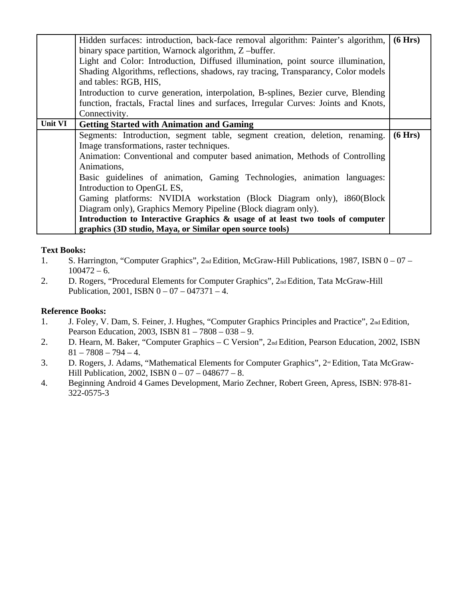|         | Hidden surfaces: introduction, back-face removal algorithm: Painter's algorithm,    | (6 Hrs) |
|---------|-------------------------------------------------------------------------------------|---------|
|         | binary space partition, Warnock algorithm, Z-buffer.                                |         |
|         | Light and Color: Introduction, Diffused illumination, point source illumination,    |         |
|         | Shading Algorithms, reflections, shadows, ray tracing, Transparancy, Color models   |         |
|         | and tables: RGB, HIS,                                                               |         |
|         | Introduction to curve generation, interpolation, B-splines, Bezier curve, Blending  |         |
|         | function, fractals, Fractal lines and surfaces, Irregular Curves: Joints and Knots, |         |
|         | Connectivity.                                                                       |         |
| Unit VI | <b>Getting Started with Animation and Gaming</b>                                    |         |
|         | Segments: Introduction, segment table, segment creation, deletion, renaming.        | (6 Hrs) |
|         | Image transformations, raster techniques.                                           |         |
|         | Animation: Conventional and computer based animation, Methods of Controlling        |         |
|         | Animations,                                                                         |         |
|         | Basic guidelines of animation, Gaming Technologies, animation languages:            |         |
|         | Introduction to OpenGL ES,                                                          |         |
|         | Gaming platforms: NVIDIA workstation (Block Diagram only), i860(Block               |         |
|         | Diagram only), Graphics Memory Pipeline (Block diagram only).                       |         |
|         | Introduction to Interactive Graphics & usage of at least two tools of computer      |         |
|         | graphics (3D studio, Maya, or Similar open source tools)                            |         |

### **Text Books:**

- 1. S. Harrington, "Computer Graphics", 2nd Edition, McGraw-Hill Publications, 1987, ISBN 0 07 - $100472 - 6.$
- 2. D. Rogers, "Procedural Elements for Computer Graphics", 2nd Edition, Tata McGraw-Hill Publication, 2001, ISBN 0 – 07 – 047371 – 4.

### **Reference Books:**

- 1. J. Foley, V. Dam, S. Feiner, J. Hughes, "Computer Graphics Principles and Practice", 2nd Edition, Pearson Education, 2003, ISBN 81 – 7808 – 038 – 9.
- 2. D. Hearn, M. Baker, "Computer Graphics C Version", 2nd Edition, Pearson Education, 2002, ISBN  $81 - 7808 - 794 - 4.$
- 3. D. Rogers, J. Adams, "Mathematical Elements for Computer Graphics", 2<sup>nd</sup> Edition, Tata McGraw-Hill Publication, 2002, ISBN 0 – 07 – 048677 – 8.
- 4. Beginning Android 4 Games Development, Mario Zechner, Robert Green, Apress, ISBN: 978-81- 322-0575-3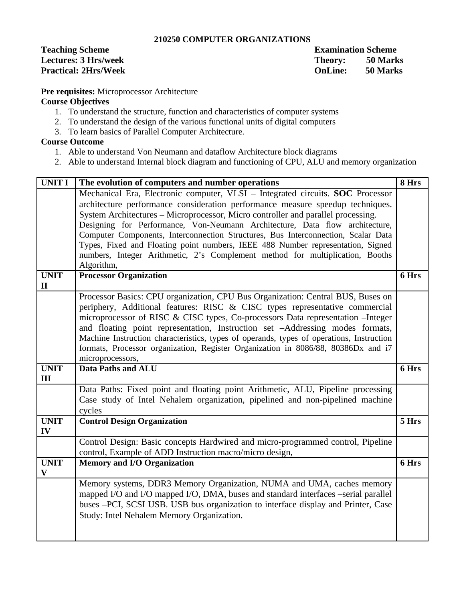### **210250 COMPUTER ORGANIZATIONS**

**Teaching Scheme Examination Scheme** 

Lectures: 3 Hrs/week Theory: 50 Marks<br>Practical: 2Hrs/Week Theory: 50 Marks **Practical: 2Hrs/Week OnLine: 50 Marks**

**Pre requisites:** Microprocessor Architecture

### **Course Objectives**

- 1. To understand the structure, function and characteristics of computer systems
- 2. To understand the design of the various functional units of digital computers
- 3. To learn basics of Parallel Computer Architecture.

### **Course Outcome**

- 1. Able to understand Von Neumann and dataflow Architecture block diagrams
- 2. Able to understand Internal block diagram and functioning of CPU, ALU and memory organization

| <b>UNIT I</b> | The evolution of computers and number operations                                         | 8 Hrs |
|---------------|------------------------------------------------------------------------------------------|-------|
|               | Mechanical Era, Electronic computer, VLSI - Integrated circuits. SOC Processor           |       |
|               | architecture performance consideration performance measure speedup techniques.           |       |
|               | System Architectures - Microprocessor, Micro controller and parallel processing.         |       |
|               | Designing for Performance, Von-Neumann Architecture, Data flow architecture,             |       |
|               | Computer Components, Interconnection Structures, Bus Interconnection, Scalar Data        |       |
|               | Types, Fixed and Floating point numbers, IEEE 488 Number representation, Signed          |       |
|               | numbers, Integer Arithmetic, 2's Complement method for multiplication, Booths            |       |
|               | Algorithm,                                                                               |       |
| <b>UNIT</b>   | <b>Processor Organization</b>                                                            | 6 Hrs |
| $\mathbf{I}$  |                                                                                          |       |
|               | Processor Basics: CPU organization, CPU Bus Organization: Central BUS, Buses on          |       |
|               | periphery, Additional features: RISC & CISC types representative commercial              |       |
|               | microprocessor of RISC & CISC types, Co-processors Data representation - Integer         |       |
|               | and floating point representation, Instruction set -Addressing modes formats,            |       |
|               | Machine Instruction characteristics, types of operands, types of operations, Instruction |       |
|               | formats, Processor organization, Register Organization in 8086/88, 80386Dx and i7        |       |
|               | microprocessors,                                                                         |       |
|               |                                                                                          |       |
| <b>UNIT</b>   | <b>Data Paths and ALU</b>                                                                | 6 Hrs |
| III           |                                                                                          |       |
|               | Data Paths: Fixed point and floating point Arithmetic, ALU, Pipeline processing          |       |
|               | Case study of Intel Nehalem organization, pipelined and non-pipelined machine            |       |
|               | cycles                                                                                   |       |
| <b>UNIT</b>   | <b>Control Design Organization</b>                                                       | 5 Hrs |
| IV            |                                                                                          |       |
|               | Control Design: Basic concepts Hardwired and micro-programmed control, Pipeline          |       |
|               | control, Example of ADD Instruction macro/micro design,                                  |       |
| <b>UNIT</b>   | <b>Memory and I/O Organization</b>                                                       | 6 Hrs |
| $\mathbf{V}$  |                                                                                          |       |
|               | Memory systems, DDR3 Memory Organization, NUMA and UMA, caches memory                    |       |
|               | mapped I/O and I/O mapped I/O, DMA, buses and standard interfaces -serial parallel       |       |
|               | buses -PCI, SCSI USB. USB bus organization to interface display and Printer, Case        |       |
|               | Study: Intel Nehalem Memory Organization.                                                |       |
|               |                                                                                          |       |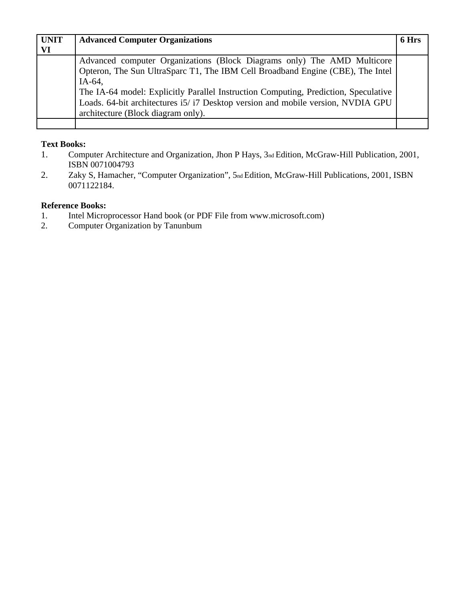| <b>UNIT</b> | <b>Advanced Computer Organizations</b>                                              | 6 Hrs |
|-------------|-------------------------------------------------------------------------------------|-------|
| VI          |                                                                                     |       |
|             | Advanced computer Organizations (Block Diagrams only) The AMD Multicore             |       |
|             | Opteron, The Sun UltraSparc T1, The IBM Cell Broadband Engine (CBE), The Intel      |       |
|             | $IA-64$                                                                             |       |
|             | The IA-64 model: Explicitly Parallel Instruction Computing, Prediction, Speculative |       |
|             | Loads. 64-bit architectures i5/i7 Desktop version and mobile version, NVDIA GPU     |       |
|             | architecture (Block diagram only).                                                  |       |
|             |                                                                                     |       |

### **Text Books:**

- 1. Computer Architecture and Organization, Jhon P Hays, 3nd Edition, McGraw-Hill Publication, 2001, ISBN 0071004793
- 2. Zaky S, Hamacher, "Computer Organization", 5nd Edition, McGraw-Hill Publications, 2001, ISBN 0071122184.

### **Reference Books:**

- 1. Intel Microprocessor Hand book (or PDF File from www.microsoft.com)
- 2. Computer Organization by Tanunbum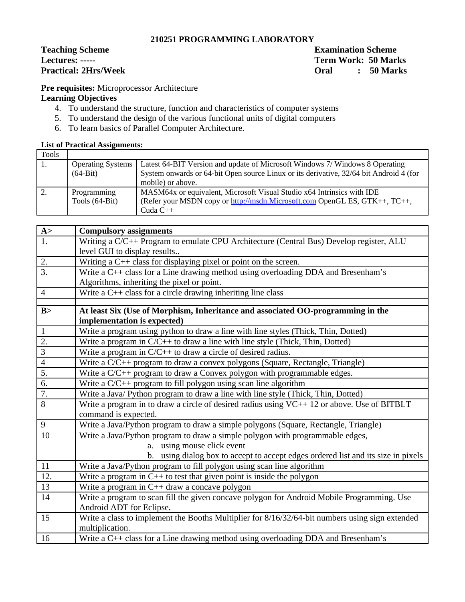### **210251 PROGRAMMING LABORATORY**

# Teaching Scheme **Examination Scheme**<br>
Examination Scheme Examination Scheme<br>
Term Work: 50 Mar

**Lectures: ----- Term Work: 50 Marks Practical: 2Hrs/Week Oral : 50 Marks**

**Pre requisites:** Microprocessor Architecture

### **Learning Objectives**

- 4. To understand the structure, function and characteristics of computer systems
- 5. To understand the design of the various functional units of digital computers
- 6. To learn basics of Parallel Computer Architecture.

### **List of Practical Assignments:**

| Tools |                          |                                                                                        |
|-------|--------------------------|----------------------------------------------------------------------------------------|
|       | <b>Operating Systems</b> | Latest 64-BIT Version and update of Microsoft Windows 7/ Windows 8 Operating           |
|       | $(64-Bit)$               | System onwards or 64-bit Open source Linux or its derivative, 32/64 bit Android 4 (for |
|       |                          | mobile) or above.                                                                      |
|       | Programming              | MASM64x or equivalent, Microsoft Visual Studio x64 Intrinsics with IDE                 |
|       | Tools (64-Bit)           | (Refer your MSDN copy or http://msdn.Microsoft.com OpenGL ES, GTK++, TC++,             |
|       |                          | Cuda $C++$                                                                             |

| A>                       | <b>Compulsory assignments</b>                                                                   |
|--------------------------|-------------------------------------------------------------------------------------------------|
| 1.                       | Writing a C/C++ Program to emulate CPU Architecture (Central Bus) Develop register, ALU         |
|                          | level GUI to display results                                                                    |
| 2.                       | Writing a $C++$ class for displaying pixel or point on the screen.                              |
| 3.                       | Write a C++ class for a Line drawing method using overloading DDA and Bresenham's               |
|                          | Algorithms, inheriting the pixel or point.                                                      |
| $\overline{4}$           | Write a $C++$ class for a circle drawing inheriting line class                                  |
|                          |                                                                                                 |
| B>                       | At least Six (Use of Morphism, Inheritance and associated OO-programming in the                 |
|                          | implementation is expected)                                                                     |
| $\mathbf{1}$             | Write a program using python to draw a line with line styles (Thick, Thin, Dotted)              |
| $\overline{2}$ .         | Write a program in $C/C++$ to draw a line with line style (Thick, Thin, Dotted)                 |
| $\overline{3}$           | Write a program in $C/C++$ to draw a circle of desired radius.                                  |
| $\overline{\mathcal{A}}$ | Write a C/C++ program to draw a convex polygons (Square, Rectangle, Triangle)                   |
| $\overline{5}$ .         | Write a C/C++ program to draw a Convex polygon with programmable edges.                         |
| 6.                       | Write a $C/C++$ program to fill polygon using scan line algorithm                               |
| 7.                       | Write a Java/ Python program to draw a line with line style (Thick, Thin, Dotted)               |
| 8                        | Write a program in to draw a circle of desired radius using VC++ 12 or above. Use of BITBLT     |
|                          | command is expected.                                                                            |
| 9                        | Write a Java/Python program to draw a simple polygons (Square, Rectangle, Triangle)             |
| 10                       | Write a Java/Python program to draw a simple polygon with programmable edges,                   |
|                          | a. using mouse click event                                                                      |
|                          | b. using dialog box to accept to accept edges ordered list and its size in pixels               |
| 11                       | Write a Java/Python program to fill polygon using scan line algorithm                           |
| 12.                      | Write a program in $C++$ to test that given point is inside the polygon                         |
| 13                       | Write a program in $C++$ draw a concave polygon                                                 |
| 14                       | Write a program to scan fill the given concave polygon for Android Mobile Programming. Use      |
|                          | Android ADT for Eclipse.                                                                        |
| 15                       | Write a class to implement the Booths Multiplier for 8/16/32/64-bit numbers using sign extended |
|                          | multiplication.                                                                                 |
| 16                       | Write a C++ class for a Line drawing method using overloading DDA and Bresenham's               |